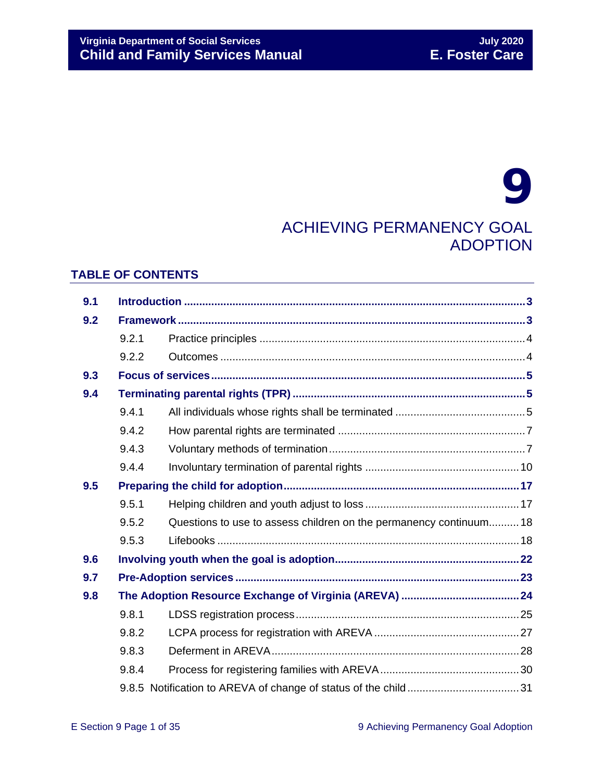# 9 ACHIEVING PERMANENCY GOAL ADOPTION

### **TABLE OF CONTENTS**

| 9.1 |       |                                                                    |  |
|-----|-------|--------------------------------------------------------------------|--|
| 9.2 |       |                                                                    |  |
|     | 9.2.1 |                                                                    |  |
|     | 9.2.2 |                                                                    |  |
| 9.3 |       |                                                                    |  |
| 9.4 |       |                                                                    |  |
|     | 9.4.1 |                                                                    |  |
|     | 9.4.2 |                                                                    |  |
|     | 9.4.3 |                                                                    |  |
|     | 9.4.4 |                                                                    |  |
| 9.5 |       |                                                                    |  |
|     | 9.5.1 |                                                                    |  |
|     | 9.5.2 | Questions to use to assess children on the permanency continuum 18 |  |
|     | 9.5.3 |                                                                    |  |
| 9.6 |       |                                                                    |  |
| 9.7 |       |                                                                    |  |
| 9.8 |       |                                                                    |  |
|     | 9.8.1 |                                                                    |  |
|     | 9.8.2 |                                                                    |  |
|     | 9.8.3 |                                                                    |  |
|     | 9.8.4 |                                                                    |  |
|     |       |                                                                    |  |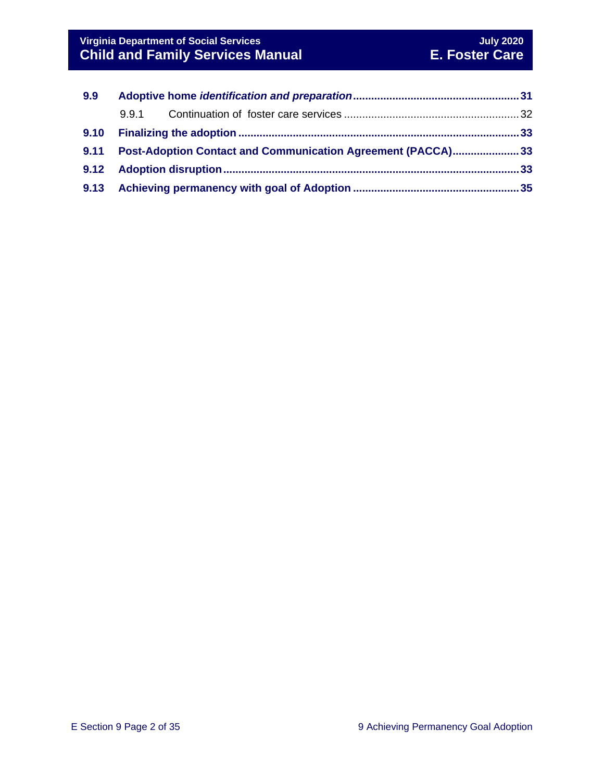| 9.9  |                                                                    |  |
|------|--------------------------------------------------------------------|--|
|      | 9.9.1                                                              |  |
| 9.10 |                                                                    |  |
| 9.11 | <b>Post-Adoption Contact and Communication Agreement (PACCA)33</b> |  |
|      |                                                                    |  |
|      |                                                                    |  |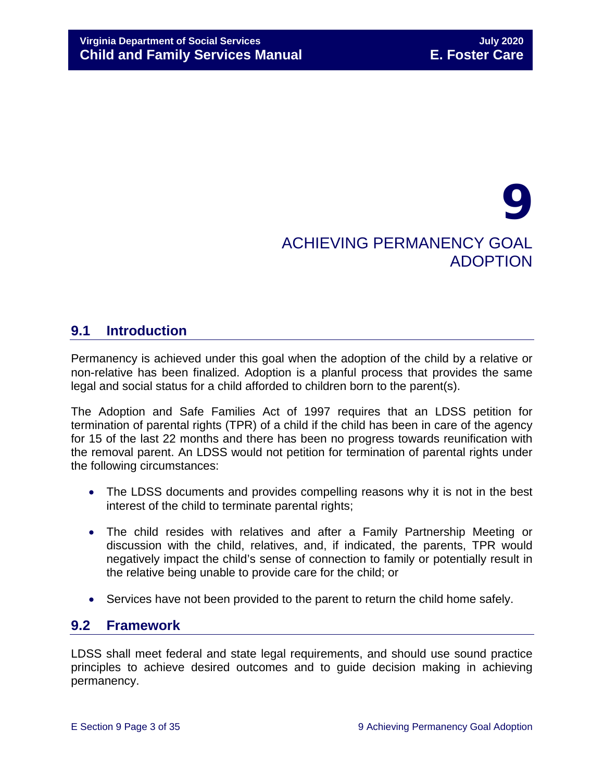# 9 ACHIEVING PERMANENCY GOAL ADOPTION

# <span id="page-2-0"></span>**9.1 Introduction**

Permanency is achieved under this goal when the adoption of the child by a relative or non-relative has been finalized. Adoption is a planful process that provides the same legal and social status for a child afforded to children born to the parent(s).

The Adoption and Safe Families Act of 1997 requires that an LDSS petition for termination of parental rights (TPR) of a child if the child has been in care of the agency for 15 of the last 22 months and there has been no progress towards reunification with the removal parent. An LDSS would not petition for termination of parental rights under the following circumstances:

- The LDSS documents and provides compelling reasons why it is not in the best interest of the child to terminate parental rights;
- The child resides with relatives and after a Family Partnership Meeting or discussion with the child, relatives, and, if indicated, the parents, TPR would negatively impact the child's sense of connection to family or potentially result in the relative being unable to provide care for the child; or
- Services have not been provided to the parent to return the child home safely.

# <span id="page-2-1"></span>**9.2 Framework**

LDSS shall meet federal and state legal requirements, and should use sound practice principles to achieve desired outcomes and to guide decision making in achieving permanency.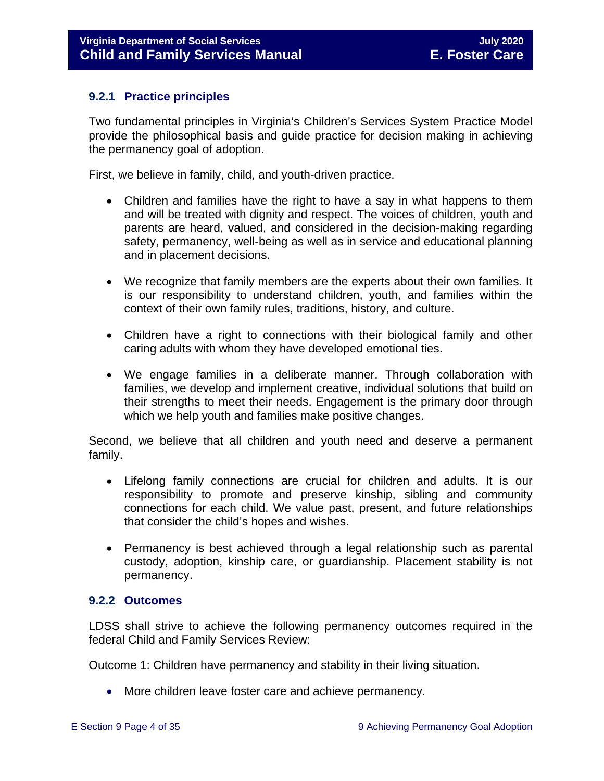#### <span id="page-3-0"></span>**9.2.1 Practice principles**

Two fundamental principles in Virginia's Children's Services System Practice Model provide the philosophical basis and guide practice for decision making in achieving the permanency goal of adoption.

First, we believe in family, child, and youth-driven practice.

- Children and families have the right to have a say in what happens to them and will be treated with dignity and respect. The voices of children, youth and parents are heard, valued, and considered in the decision-making regarding safety, permanency, well-being as well as in service and educational planning and in placement decisions.
- We recognize that family members are the experts about their own families. It is our responsibility to understand children, youth, and families within the context of their own family rules, traditions, history, and culture.
- Children have a right to connections with their biological family and other caring adults with whom they have developed emotional ties.
- We engage families in a deliberate manner. Through collaboration with families, we develop and implement creative, individual solutions that build on their strengths to meet their needs. Engagement is the primary door through which we help youth and families make positive changes.

Second, we believe that all children and youth need and deserve a permanent family.

- Lifelong family connections are crucial for children and adults. It is our responsibility to promote and preserve kinship, sibling and community connections for each child. We value past, present, and future relationships that consider the child's hopes and wishes.
- Permanency is best achieved through a legal relationship such as parental custody, adoption, kinship care, or guardianship. Placement stability is not permanency.

#### <span id="page-3-1"></span>**9.2.2 Outcomes**

LDSS shall strive to achieve the following permanency outcomes required in the federal Child and Family Services Review:

Outcome 1: Children have permanency and stability in their living situation.

• More children leave foster care and achieve permanency.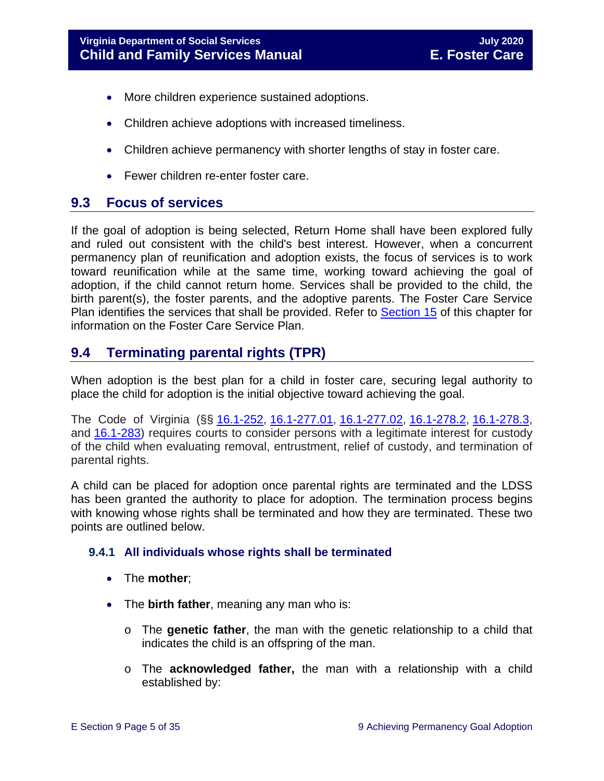- More children experience sustained adoptions.
- Children achieve adoptions with increased timeliness.
- Children achieve permanency with shorter lengths of stay in foster care.
- Fewer children re-enter foster care.

# <span id="page-4-0"></span>**9.3 Focus of services**

If the goal of adoption is being selected, Return Home shall have been explored fully and ruled out consistent with the child's best interest. However, when a concurrent permanency plan of reunification and adoption exists, the focus of services is to work toward reunification while at the same time, working toward achieving the goal of adoption, if the child cannot return home. Services shall be provided to the child, the birth parent(s), the foster parents, and the adoptive parents. The Foster Care Service Plan identifies the services that shall be provided. Refer to [Section 15](https://fusion.dss.virginia.gov/Portals/%5bdfs%5d/Files/DFS%20Manuals/Foster%20Care%20Manuals/Foster%20Care%20Manual%2007-2020/Final%20Foster%20Care%20Manual%2007-2020/section_15_developing_service_plan.pdf) of this chapter for information on the Foster Care Service Plan.

# <span id="page-4-1"></span>**9.4 Terminating parental rights (TPR)**

When adoption is the best plan for a child in foster care, securing legal authority to place the child for adoption is the initial objective toward achieving the goal.

The Code of Virginia (§§ [16.1-252,](https://law.lis.virginia.gov/vacode/title16.1/chapter11/section16.1-252/) [16.1-277.01,](https://law.lis.virginia.gov/vacode/title16.1/chapter11/section16.1-277.01/) [16.1-277.02,](https://law.lis.virginia.gov/vacode/title16.1/chapter11/section16.1-277.02/) [16.1-278.2,](https://law.lis.virginia.gov/vacode/title16.1/chapter11/section16.1-278.2/) [16.1-278.3,](https://law.lis.virginia.gov/vacode/title16.1/chapter11/section16.1-278.3/) and [16.1-283\)](https://law.lis.virginia.gov/vacode/title16.1/chapter11/section16.1-283/) requires courts to consider persons with a legitimate interest for custody of the child when evaluating removal, entrustment, relief of custody, and termination of parental rights.

A child can be placed for adoption once parental rights are terminated and the LDSS has been granted the authority to place for adoption. The termination process begins with knowing whose rights shall be terminated and how they are terminated. These two points are outlined below.

#### <span id="page-4-2"></span>**9.4.1 All individuals whose rights shall be terminated**

- The **mother**;
- The **birth father**, meaning any man who is:
	- o The **genetic father**, the man with the genetic relationship to a child that indicates the child is an offspring of the man.
	- o The **acknowledged father,** the man with a relationship with a child established by: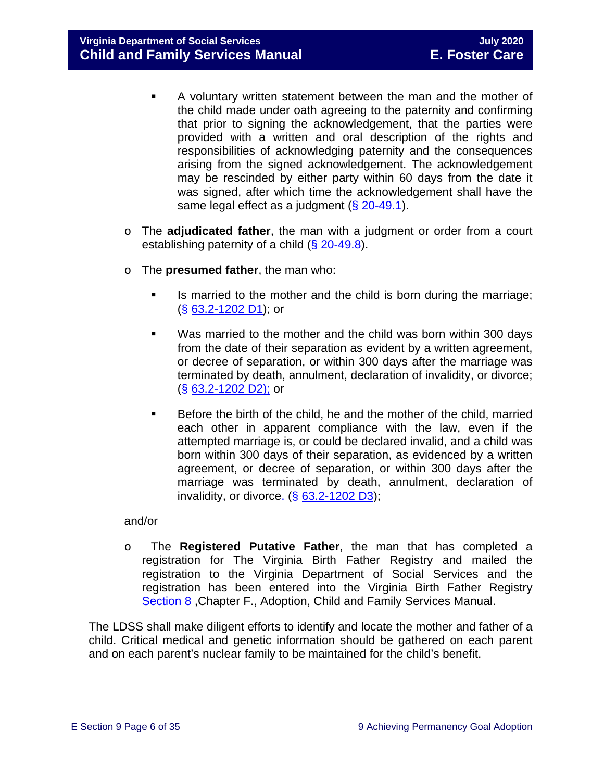**Virginia Department of Social Services July 2020 Child and Family Services Manual** 

- A voluntary written statement between the man and the mother of the child made under oath agreeing to the paternity and confirming that prior to signing the acknowledgement, that the parties were provided with a written and oral description of the rights and responsibilities of acknowledging paternity and the consequences arising from the signed acknowledgement. The acknowledgement may be rescinded by either party within 60 days from the date it was signed, after which time the acknowledgement shall have the same legal effect as a judgment  $(\S 20 - 49.1)$ .
- o The **adjudicated father**, the man with a judgment or order from a court establishing paternity of a child  $(\S$  [20-49.8\)](https://law.lis.virginia.gov/vacode/20-49.8/).
- o The **presumed father**, the man who:
	- If is married to the mother and the child is born during the marriage; (§ [63.2-1202 D1\)](https://law.lis.virginia.gov/vacode/63.2-1202/); or
	- Was married to the mother and the child was born within 300 days from the date of their separation as evident by a written agreement, or decree of separation, or within 300 days after the marriage was terminated by death, annulment, declaration of invalidity, or divorce; (§ [63.2-1202 D2\);](https://law.lis.virginia.gov/vacode/63.2-1202/) or
	- Before the birth of the child, he and the mother of the child, married each other in apparent compliance with the law, even if the attempted marriage is, or could be declared invalid, and a child was born within 300 days of their separation, as evidenced by a written agreement, or decree of separation, or within 300 days after the marriage was terminated by death, annulment, declaration of invalidity, or divorce.  $( $\S$  63.2-1202 D3)$  $( $\S$  63.2-1202 D3)$ ;

#### and/or

o The **Registered Putative Father**, the man that has completed a registration for The Virginia Birth Father Registry and mailed the registration to the Virginia Department of Social Services and the registration has been entered into the Virginia Birth Father Registry [Section 8](https://fusion.dss.virginia.gov/Portals/%5Bdfs%5D/Files/Adoption/Guidance/2020/section_8_virginia%20birth%20father%20registry.pdf) ,Chapter F., Adoption, Child and Family Services Manual.

The LDSS shall make diligent efforts to identify and locate the mother and father of a child. Critical medical and genetic information should be gathered on each parent and on each parent's nuclear family to be maintained for the child's benefit.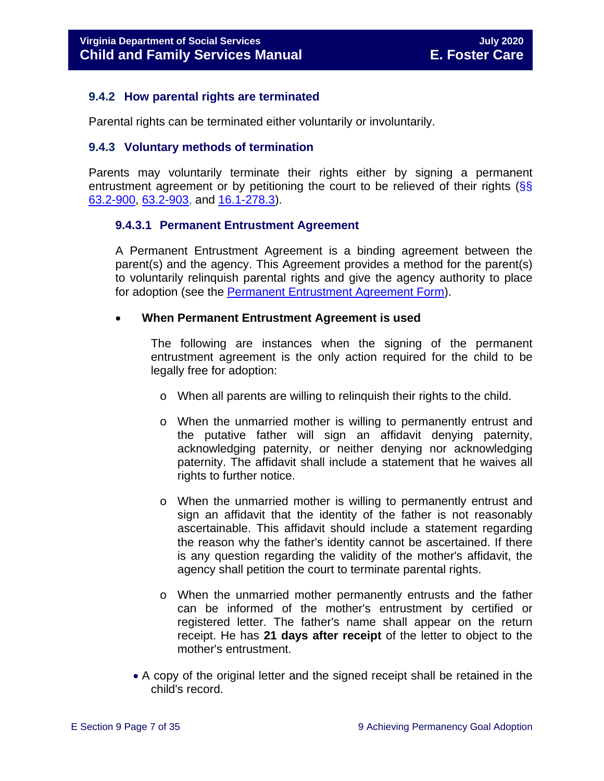#### <span id="page-6-0"></span>**9.4.2 How parental rights are terminated**

Parental rights can be terminated either voluntarily or involuntarily.

#### <span id="page-6-1"></span>**9.4.3 Voluntary methods of termination**

Parents may voluntarily terminate their rights either by signing a permanent entrustment agreement or by petitioning the court to be relieved of their rights  $\frac{\sqrt{S}}{S}$ [63.2-900,](https://law.lis.virginia.gov/vacode/63.2-900/) [63.2-903,](https://law.lis.virginia.gov/vacode/63.2-903/) and [16.1-278.3\)](https://law.lis.virginia.gov/vacode/16.1-278.3/).

#### **9.4.3.1 Permanent Entrustment Agreement**

A Permanent Entrustment Agreement is a binding agreement between the parent(s) and the agency. This Agreement provides a method for the parent(s) to voluntarily relinquish parental rights and give the agency authority to place for adoption (see the [Permanent Entrustment Agreement Form\)](https://fusion.dss.virginia.gov/Portals/%5Bdfs%5D/Files/DFS%20FORMS/Family%20Services-Generic%20Forms/Entrustment%20Agreement%20for%20Permanent%20Surrender%20of%20a%20Child.pdf).

#### • **When Permanent Entrustment Agreement is used**

The following are instances when the signing of the permanent entrustment agreement is the only action required for the child to be legally free for adoption:

- o When all parents are willing to relinquish their rights to the child.
- o When the unmarried mother is willing to permanently entrust and the putative father will sign an affidavit denying paternity, acknowledging paternity, or neither denying nor acknowledging paternity. The affidavit shall include a statement that he waives all rights to further notice.
- o When the unmarried mother is willing to permanently entrust and sign an affidavit that the identity of the father is not reasonably ascertainable. This affidavit should include a statement regarding the reason why the father's identity cannot be ascertained. If there is any question regarding the validity of the mother's affidavit, the agency shall petition the court to terminate parental rights.
- o When the unmarried mother permanently entrusts and the father can be informed of the mother's entrustment by certified or registered letter. The father's name shall appear on the return receipt. He has **21 days after receipt** of the letter to object to the mother's entrustment.
- A copy of the original letter and the signed receipt shall be retained in the child's record.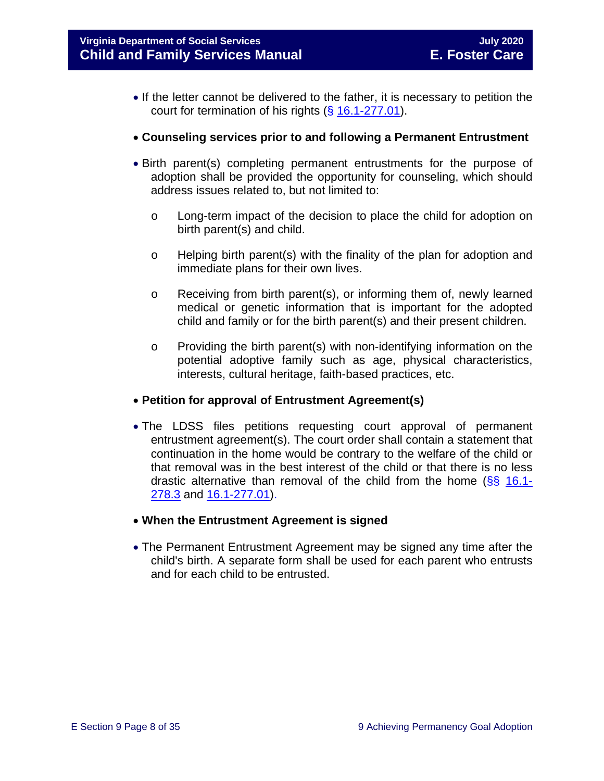- If the letter cannot be delivered to the father, it is necessary to petition the court for termination of his rights (§ [16.1-277.01\)](https://law.lis.virginia.gov/vacode/16.1-277.01/).
- **Counseling services prior to and following a Permanent Entrustment**
- Birth parent(s) completing permanent entrustments for the purpose of adoption shall be provided the opportunity for counseling, which should address issues related to, but not limited to:
	- o Long-term impact of the decision to place the child for adoption on birth parent(s) and child.
	- o Helping birth parent(s) with the finality of the plan for adoption and immediate plans for their own lives.
	- $\circ$  Receiving from birth parent(s), or informing them of, newly learned medical or genetic information that is important for the adopted child and family or for the birth parent(s) and their present children.
	- o Providing the birth parent(s) with non-identifying information on the potential adoptive family such as age, physical characteristics, interests, cultural heritage, faith-based practices, etc.

#### • **Petition for approval of Entrustment Agreement(s)**

- The LDSS files petitions requesting court approval of permanent entrustment agreement(s). The court order shall contain a statement that continuation in the home would be contrary to the welfare of the child or that removal was in the best interest of the child or that there is no less drastic alternative than removal of the child from the home  $(\frac{8}{5})$  [16.1-](https://law.lis.virginia.gov/vacode/16.1-278.3/) [278.3](https://law.lis.virginia.gov/vacode/16.1-278.3/) and [16.1-277.01\)](https://law.lis.virginia.gov/vacode/16.1-277.01/).
- **When the Entrustment Agreement is signed**
- The Permanent Entrustment Agreement may be signed any time after the child's birth. A separate form shall be used for each parent who entrusts and for each child to be entrusted.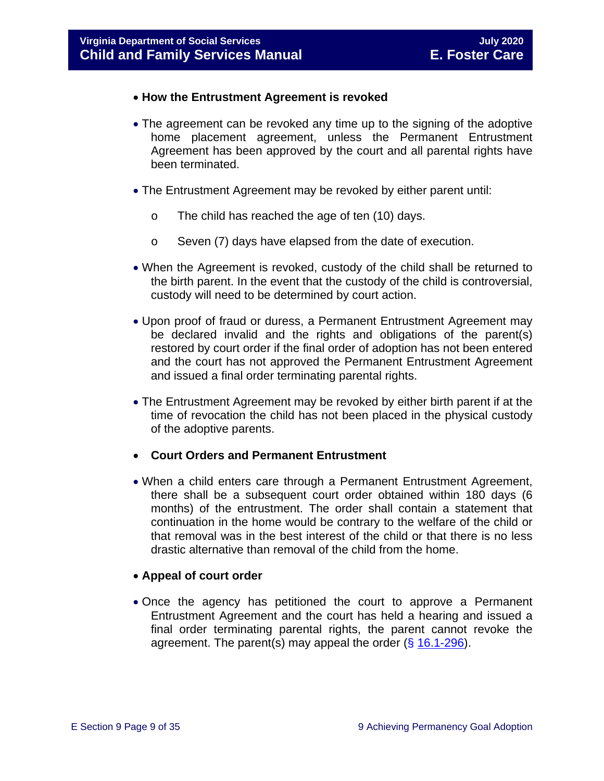- **How the Entrustment Agreement is revoked**
- The agreement can be revoked any time up to the signing of the adoptive home placement agreement, unless the Permanent Entrustment Agreement has been approved by the court and all parental rights have been terminated.
- The Entrustment Agreement may be revoked by either parent until:
	- o The child has reached the age of ten (10) days.
	- o Seven (7) days have elapsed from the date of execution.
- When the Agreement is revoked, custody of the child shall be returned to the birth parent. In the event that the custody of the child is controversial, custody will need to be determined by court action.
- Upon proof of fraud or duress, a Permanent Entrustment Agreement may be declared invalid and the rights and obligations of the parent(s) restored by court order if the final order of adoption has not been entered and the court has not approved the Permanent Entrustment Agreement and issued a final order terminating parental rights.
- The Entrustment Agreement may be revoked by either birth parent if at the time of revocation the child has not been placed in the physical custody of the adoptive parents.
- **Court Orders and Permanent Entrustment**
- When a child enters care through a Permanent Entrustment Agreement, there shall be a subsequent court order obtained within 180 days (6 months) of the entrustment. The order shall contain a statement that continuation in the home would be contrary to the welfare of the child or that removal was in the best interest of the child or that there is no less drastic alternative than removal of the child from the home.

#### • **Appeal of court order**

• Once the agency has petitioned the court to approve a Permanent Entrustment Agreement and the court has held a hearing and issued a final order terminating parental rights, the parent cannot revoke the agreement. The parent(s) may appeal the order  $(\S 16.1-296)$  $(\S 16.1-296)$ .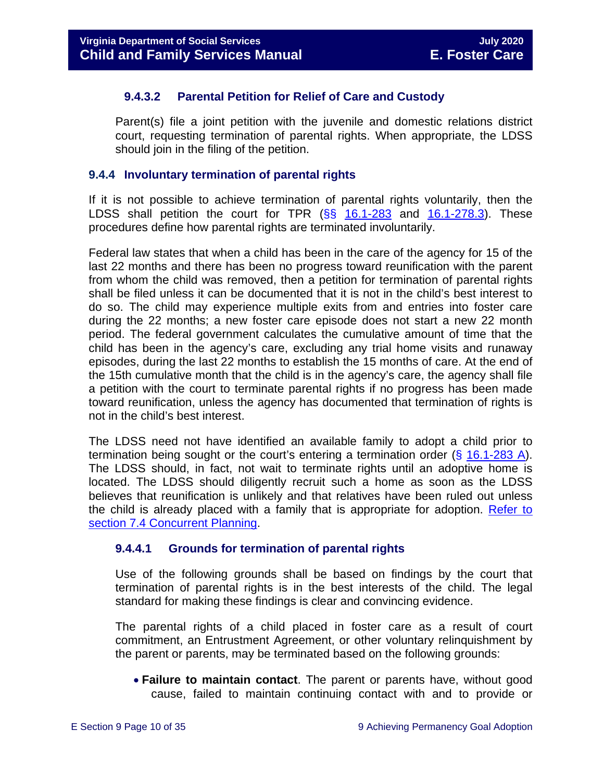#### **9.4.3.2 Parental Petition for Relief of Care and Custody**

Parent(s) file a joint petition with the juvenile and domestic relations district court, requesting termination of parental rights. When appropriate, the LDSS should join in the filing of the petition.

#### <span id="page-9-0"></span>**9.4.4 Involuntary termination of parental rights**

If it is not possible to achieve termination of parental rights voluntarily, then the LDSS shall petition the court for TPR  $(\frac{66}{5})$  [16.1-283](https://law.lis.virginia.gov/vacode/16.1-283/) and [16.1-278.3\)](https://law.lis.virginia.gov/vacode/16.1-278.3/). These procedures define how parental rights are terminated involuntarily.

Federal law states that when a child has been in the care of the agency for 15 of the last 22 months and there has been no progress toward reunification with the parent from whom the child was removed, then a petition for termination of parental rights shall be filed unless it can be documented that it is not in the child's best interest to do so. The child may experience multiple exits from and entries into foster care during the 22 months; a new foster care episode does not start a new 22 month period. The federal government calculates the cumulative amount of time that the child has been in the agency's care, excluding any trial home visits and runaway episodes, during the last 22 months to establish the 15 months of care. At the end of the 15th cumulative month that the child is in the agency's care, the agency shall file a petition with the court to terminate parental rights if no progress has been made toward reunification, unless the agency has documented that termination of rights is not in the child's best interest.

The LDSS need not have identified an available family to adopt a child prior to termination being sought or the court's entering a termination order (§ [16.1-283 A\)](https://law.lis.virginia.gov/vacode/16.1-283/). The LDSS should, in fact, not wait to terminate rights until an adoptive home is located. The LDSS should diligently recruit such a home as soon as the LDSS believes that reunification is unlikely and that relatives have been ruled out unless the child is already placed with a family that is appropriate for adoption. [Refer to](https://fusion.dss.virginia.gov/Portals/%5bdfs%5d/Files/DFS%20Manuals/Foster%20Care%20Manuals/Foster%20Care%20Manual%2007-2020/Final%20Foster%20Care%20Manual%2007-2020/section_7_selecting_permanency_goals#page=7)  [section 7.4 Concurrent Planning.](https://fusion.dss.virginia.gov/Portals/%5bdfs%5d/Files/DFS%20Manuals/Foster%20Care%20Manuals/Foster%20Care%20Manual%2007-2020/Final%20Foster%20Care%20Manual%2007-2020/section_7_selecting_permanency_goals#page=7)

#### **9.4.4.1 Grounds for termination of parental rights**

Use of the following grounds shall be based on findings by the court that termination of parental rights is in the best interests of the child. The legal standard for making these findings is clear and convincing evidence.

The parental rights of a child placed in foster care as a result of court commitment, an Entrustment Agreement, or other voluntary relinquishment by the parent or parents, may be terminated based on the following grounds:

• **Failure to maintain contact**. The parent or parents have, without good cause, failed to maintain continuing contact with and to provide or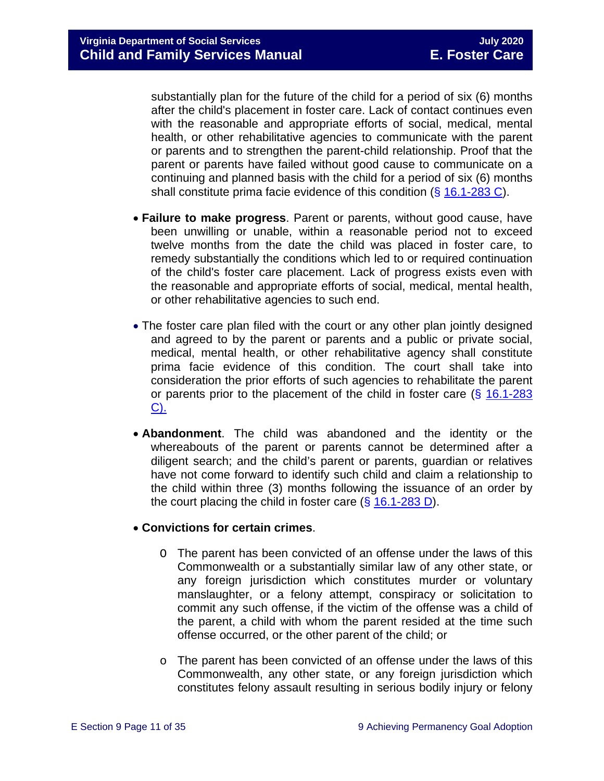substantially plan for the future of the child for a period of six (6) months after the child's placement in foster care. Lack of contact continues even with the reasonable and appropriate efforts of social, medical, mental health, or other rehabilitative agencies to communicate with the parent or parents and to strengthen the parent-child relationship. Proof that the parent or parents have failed without good cause to communicate on a continuing and planned basis with the child for a period of six (6) months shall constitute prima facie evidence of this condition (§ [16.1-283 C\)](https://law.lis.virginia.gov/vacode/16.1-283/).

- **Failure to make progress**. Parent or parents, without good cause, have been unwilling or unable, within a reasonable period not to exceed twelve months from the date the child was placed in foster care, to remedy substantially the conditions which led to or required continuation of the child's foster care placement. Lack of progress exists even with the reasonable and appropriate efforts of social, medical, mental health, or other rehabilitative agencies to such end.
- The foster care plan filed with the court or any other plan jointly designed and agreed to by the parent or parents and a public or private social, medical, mental health, or other rehabilitative agency shall constitute prima facie evidence of this condition. The court shall take into consideration the prior efforts of such agencies to rehabilitate the parent or parents prior to the placement of the child in foster care  $(\S$  16.1-283 [C\).](https://law.lis.virginia.gov/vacode/16.1-283/)
- **Abandonment**. The child was abandoned and the identity or the whereabouts of the parent or parents cannot be determined after a diligent search; and the child's parent or parents, guardian or relatives have not come forward to identify such child and claim a relationship to the child within three (3) months following the issuance of an order by the court placing the child in foster care  $(\S 16.1-283 D)$  $(\S 16.1-283 D)$ .

#### • **Convictions for certain crimes**.

- O The parent has been convicted of an offense under the laws of this Commonwealth or a substantially similar law of any other state, or any foreign jurisdiction which constitutes murder or voluntary manslaughter, or a felony attempt, conspiracy or solicitation to commit any such offense, if the victim of the offense was a child of the parent, a child with whom the parent resided at the time such offense occurred, or the other parent of the child; or
- o The parent has been convicted of an offense under the laws of this Commonwealth, any other state, or any foreign jurisdiction which constitutes felony assault resulting in serious bodily injury or felony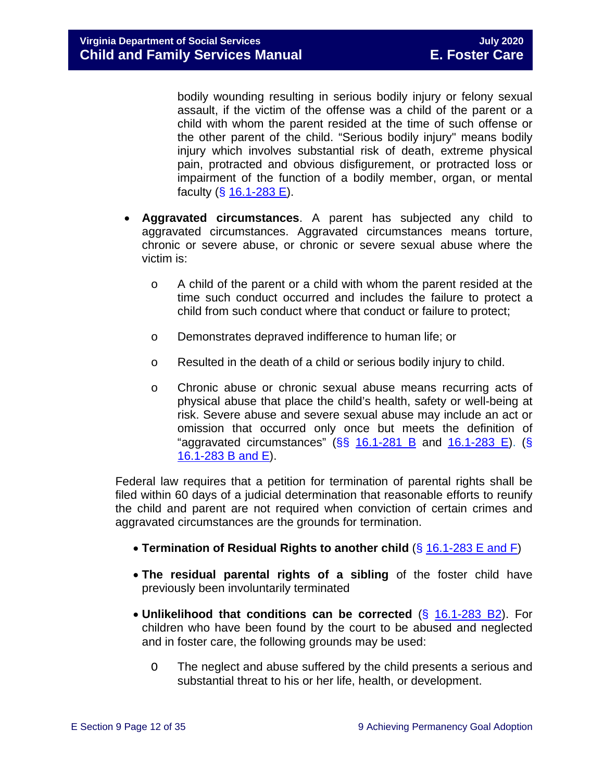bodily wounding resulting in serious bodily injury or felony sexual assault, if the victim of the offense was a child of the parent or a child with whom the parent resided at the time of such offense or the other parent of the child. "Serious bodily injury" means bodily injury which involves substantial risk of death, extreme physical pain, protracted and obvious disfigurement, or protracted loss or impairment of the function of a bodily member, organ, or mental faculty  $(*§* 16.1-283 E).$  $(*§* 16.1-283 E).$  $(*§* 16.1-283 E).$ 

- **Aggravated circumstances**. A parent has subjected any child to aggravated circumstances. Aggravated circumstances means torture, chronic or severe abuse, or chronic or severe sexual abuse where the victim is:
	- o A child of the parent or a child with whom the parent resided at the time such conduct occurred and includes the failure to protect a child from such conduct where that conduct or failure to protect;
	- o Demonstrates depraved indifference to human life; or
	- o Resulted in the death of a child or serious bodily injury to child.
	- o Chronic abuse or chronic sexual abuse means recurring acts of physical abuse that place the child's health, safety or well-being at risk. Severe abuse and severe sexual abuse may include an act or omission that occurred only once but meets the definition of "aggravated circumstances"  $(SS<sub>16.1-281 B<sub>1</sub></sub>$  $(SS<sub>16.1-281 B<sub>1</sub></sub>$  $(SS<sub>16.1-281 B<sub>1</sub></sub>$  and  $16.1-283 E)$ . (S) [16.1-283 B and E\)](https://law.lis.virginia.gov/vacode/16.1-283/).

Federal law requires that a petition for termination of parental rights shall be filed within 60 days of a judicial determination that reasonable efforts to reunify the child and parent are not required when conviction of certain crimes and aggravated circumstances are the grounds for termination.

- **Termination of Residual Rights to another child** (§ [16.1-283 E and F\)](https://law.lis.virginia.gov/vacode/16.1-283/)
- **The residual parental rights of a sibling** of the foster child have previously been involuntarily terminated
- **Unlikelihood that conditions can be corrected** (§ [16.1-283](https://law.lis.virginia.gov/vacode/16.1-283/) B2). For children who have been found by the court to be abused and neglected and in foster care, the following grounds may be used:
	- O The neglect and abuse suffered by the child presents a serious and substantial threat to his or her life, health, or development.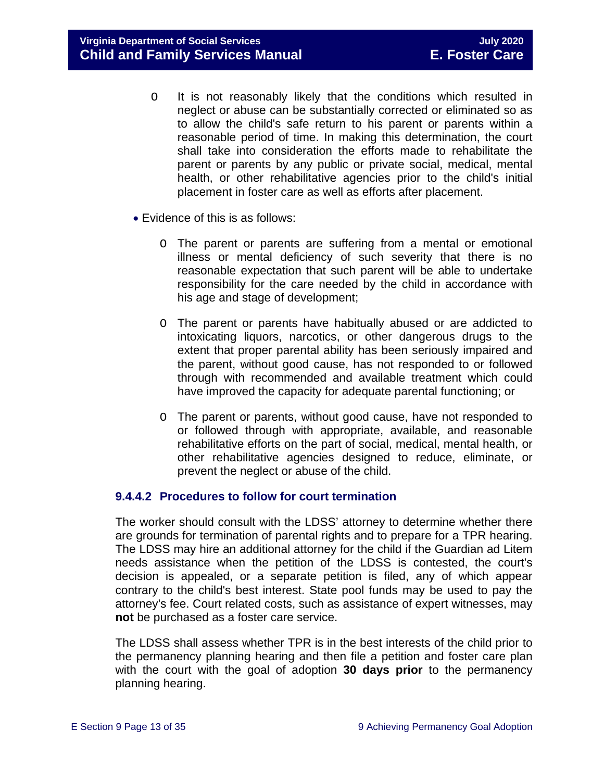**Virginia Department of Social Services July 2020 Child and Family Services Manual** 

- O It is not reasonably likely that the conditions which resulted in neglect or abuse can be substantially corrected or eliminated so as to allow the child's safe return to his parent or parents within a reasonable period of time. In making this determination, the court shall take into consideration the efforts made to rehabilitate the parent or parents by any public or private social, medical, mental health, or other rehabilitative agencies prior to the child's initial placement in foster care as well as efforts after placement.
- Evidence of this is as follows:
	- O The parent or parents are suffering from a mental or emotional illness or mental deficiency of such severity that there is no reasonable expectation that such parent will be able to undertake responsibility for the care needed by the child in accordance with his age and stage of development;
	- O The parent or parents have habitually abused or are addicted to intoxicating liquors, narcotics, or other dangerous drugs to the extent that proper parental ability has been seriously impaired and the parent, without good cause, has not responded to or followed through with recommended and available treatment which could have improved the capacity for adequate parental functioning; or
	- O The parent or parents, without good cause, have not responded to or followed through with appropriate, available, and reasonable rehabilitative efforts on the part of social, medical, mental health, or other rehabilitative agencies designed to reduce, eliminate, or prevent the neglect or abuse of the child.

#### **9.4.4.2 Procedures to follow for court termination**

The worker should consult with the LDSS' attorney to determine whether there are grounds for termination of parental rights and to prepare for a TPR hearing. The LDSS may hire an additional attorney for the child if the Guardian ad Litem needs assistance when the petition of the LDSS is contested, the court's decision is appealed, or a separate petition is filed, any of which appear contrary to the child's best interest. State pool funds may be used to pay the attorney's fee. Court related costs, such as assistance of expert witnesses, may **not** be purchased as a foster care service.

The LDSS shall assess whether TPR is in the best interests of the child prior to the permanency planning hearing and then file a petition and foster care plan with the court with the goal of adoption **30 days prior** to the permanency planning hearing.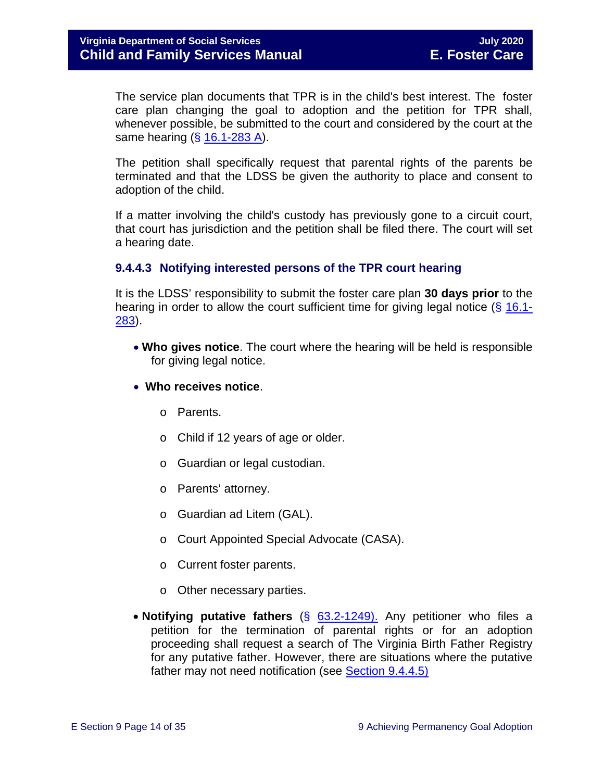The service plan documents that TPR is in the child's best interest. The foster care plan changing the goal to adoption and the petition for TPR shall, whenever possible, be submitted to the court and considered by the court at the same hearing (§ [16.1-283 A\)](https://law.lis.virginia.gov/vacode/16.1-283/).

The petition shall specifically request that parental rights of the parents be terminated and that the LDSS be given the authority to place and consent to adoption of the child.

If a matter involving the child's custody has previously gone to a circuit court, that court has jurisdiction and the petition shall be filed there. The court will set a hearing date.

#### **9.4.4.3 Notifying interested persons of the TPR court hearing**

It is the LDSS' responsibility to submit the foster care plan **30 days prior** to the hearing in order to allow the court sufficient time for giving legal notice (§ [16.1-](https://law.lis.virginia.gov/vacode/16.1-283/) [283\)](https://law.lis.virginia.gov/vacode/16.1-283/).

- **Who gives notice**. The court where the hearing will be held is responsible for giving legal notice.
- **Who receives notice**.
	- o Parents.
	- o Child if 12 years of age or older.
	- o Guardian or legal custodian.
	- o Parents' attorney.
	- o Guardian ad Litem (GAL).
	- o Court Appointed Special Advocate (CASA).
	- o Current foster parents.
	- o Other necessary parties.
- **Notifying putative fathers** (§ [63.2-1249\).](https://law.lis.virginia.gov/vacode/63.2-1249/) Any petitioner who files a petition for the termination of parental rights or for an adoption proceeding shall request a search of The Virginia Birth Father Registry for any putative father. However, there are situations where the putative father may not need notification (see [Section 9.4.4.5\)](#page-14-0)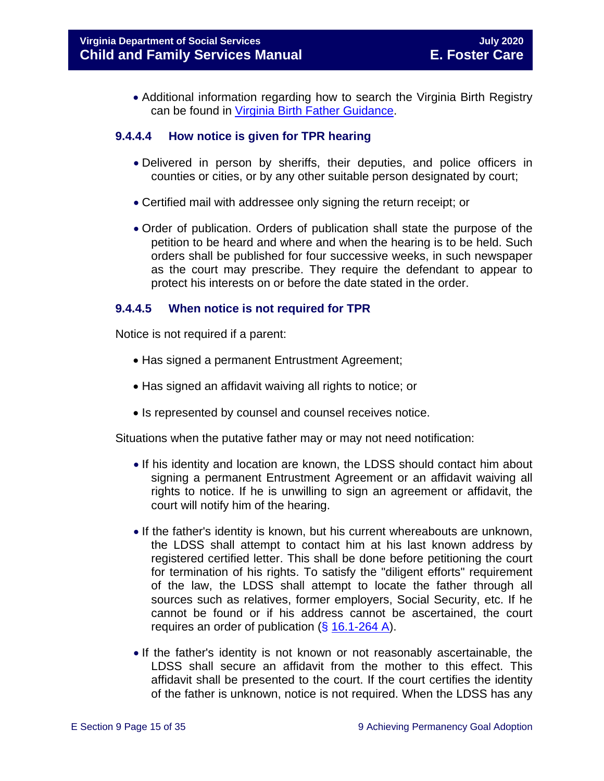• Additional information regarding how to search the Virginia Birth Registry can be found in Virginia Birth [Father Guidance.](https://fusion.dss.virginia.gov/Portals/%5Bdfs%5D/Files/Adoption/Guidance/2020/section_8_virginia%20birth%20father%20registry.pdf#page=7)

#### **9.4.4.4 How notice is given for TPR hearing**

- Delivered in person by sheriffs, their deputies, and police officers in counties or cities, or by any other suitable person designated by court;
- Certified mail with addressee only signing the return receipt; or
- Order of publication. Orders of publication shall state the purpose of the petition to be heard and where and when the hearing is to be held. Such orders shall be published for four successive weeks, in such newspaper as the court may prescribe. They require the defendant to appear to protect his interests on or before the date stated in the order.

#### <span id="page-14-0"></span>**9.4.4.5 When notice is not required for TPR**

Notice is not required if a parent:

- Has signed a permanent Entrustment Agreement;
- Has signed an affidavit waiving all rights to notice; or
- Is represented by counsel and counsel receives notice.

Situations when the putative father may or may not need notification:

- If his identity and location are known, the LDSS should contact him about signing a permanent Entrustment Agreement or an affidavit waiving all rights to notice. If he is unwilling to sign an agreement or affidavit, the court will notify him of the hearing.
- If the father's identity is known, but his current whereabouts are unknown, the LDSS shall attempt to contact him at his last known address by registered certified letter. This shall be done before petitioning the court for termination of his rights. To satisfy the "diligent efforts" requirement of the law, the LDSS shall attempt to locate the father through all sources such as relatives, former employers, Social Security, etc. If he cannot be found or if his address cannot be ascertained, the court requires an order of publication (§ [16.1-264 A\)](https://law.lis.virginia.gov/vacode/16.1-264/).
- If the father's identity is not known or not reasonably ascertainable, the LDSS shall secure an affidavit from the mother to this effect. This affidavit shall be presented to the court. If the court certifies the identity of the father is unknown, notice is not required. When the LDSS has any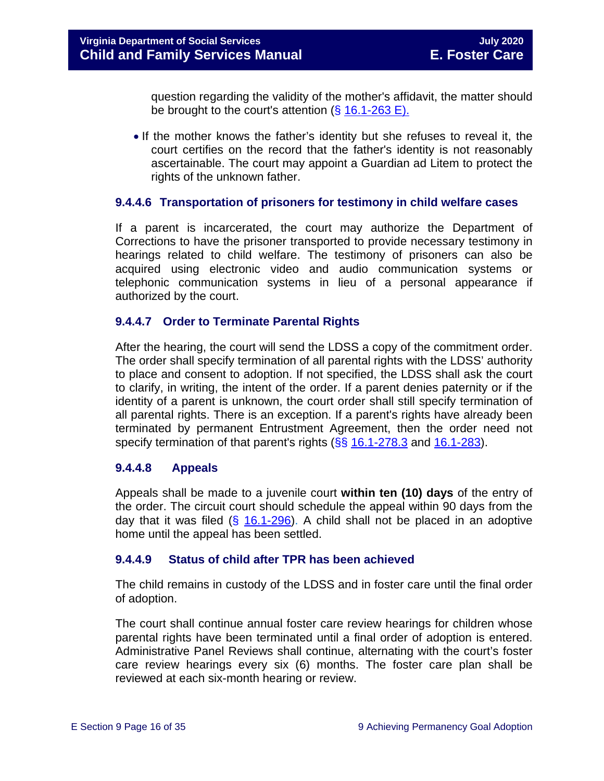question regarding the validity of the mother's affidavit, the matter should be brought to the court's attention  $(\S 16.1-263 \E)$ .

• If the mother knows the father's identity but she refuses to reveal it, the court certifies on the record that the father's identity is not reasonably ascertainable. The court may appoint a Guardian ad Litem to protect the rights of the unknown father.

#### **9.4.4.6 Transportation of prisoners for testimony in child welfare cases**

If a parent is incarcerated, the court may authorize the Department of Corrections to have the prisoner transported to provide necessary testimony in hearings related to child welfare. The testimony of prisoners can also be acquired using electronic video and audio communication systems or telephonic communication systems in lieu of a personal appearance if authorized by the court.

#### **9.4.4.7 Order to Terminate Parental Rights**

After the hearing, the court will send the LDSS a copy of the commitment order. The order shall specify termination of all parental rights with the LDSS' authority to place and consent to adoption. If not specified, the LDSS shall ask the court to clarify, in writing, the intent of the order. If a parent denies paternity or if the identity of a parent is unknown, the court order shall still specify termination of all parental rights. There is an exception. If a parent's rights have already been terminated by permanent Entrustment Agreement, then the order need not specify termination of that parent's rights ( $\S$ § [16.1-278.3](https://law.lis.virginia.gov/vacode/16.1-278.3/) and [16.1-283\)](https://law.lis.virginia.gov/vacode/16.1-283/).

#### **9.4.4.8 Appeals**

Appeals shall be made to a juvenile court **within ten (10) days** of the entry of the order. The circuit court should schedule the appeal within 90 days from the day that it was filed  $(\frac{2}{3} 16.1 - 296)$ . A child shall not be placed in an adoptive home until the appeal has been settled.

#### **9.4.4.9 Status of child after TPR has been achieved**

The child remains in custody of the LDSS and in foster care until the final order of adoption.

The court shall continue annual foster care review hearings for children whose parental rights have been terminated until a final order of adoption is entered. Administrative Panel Reviews shall continue, alternating with the court's foster care review hearings every six (6) months. The foster care plan shall be reviewed at each six-month hearing or review.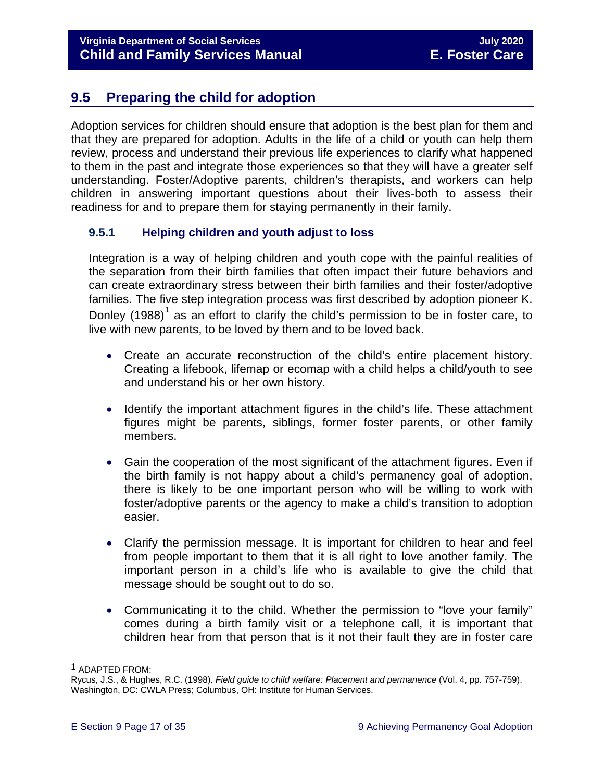# <span id="page-16-0"></span>**9.5 Preparing the child for adoption**

Adoption services for children should ensure that adoption is the best plan for them and that they are prepared for adoption. Adults in the life of a child or youth can help them review, process and understand their previous life experiences to clarify what happened to them in the past and integrate those experiences so that they will have a greater self understanding. Foster/Adoptive parents, children's therapists, and workers can help children in answering important questions about their lives-both to assess their readiness for and to prepare them for staying permanently in their family.

#### <span id="page-16-1"></span>**9.5.1 Helping children and youth adjust to loss**

Integration is a way of helping children and youth cope with the painful realities of the separation from their birth families that often impact their future behaviors and can create extraordinary stress between their birth families and their foster/adoptive families. The five step integration process was first described by adoption pioneer K. Donley  $(1988)^1$  $(1988)^1$  $(1988)^1$  as an effort to clarify the child's permission to be in foster care, to live with new parents, to be loved by them and to be loved back.

- Create an accurate reconstruction of the child's entire placement history. Creating a lifebook, lifemap or ecomap with a child helps a child/youth to see and understand his or her own history.
- Identify the important attachment figures in the child's life. These attachment figures might be parents, siblings, former foster parents, or other family members.
- Gain the cooperation of the most significant of the attachment figures. Even if the birth family is not happy about a child's permanency goal of adoption, there is likely to be one important person who will be willing to work with foster/adoptive parents or the agency to make a child's transition to adoption easier.
- Clarify the permission message. It is important for children to hear and feel from people important to them that it is all right to love another family. The important person in a child's life who is available to give the child that message should be sought out to do so.
- Communicating it to the child. Whether the permission to "love your family" comes during a birth family visit or a telephone call, it is important that children hear from that person that is it not their fault they are in foster care

Ĩ.

<span id="page-16-2"></span><sup>1</sup> ADAPTED FROM:

Rycus, J.S., & Hughes, R.C. (1998). *Field guide to child welfare: Placement and permanence* (Vol. 4, pp. 757-759). Washington, DC: CWLA Press; Columbus, OH: Institute for Human Services.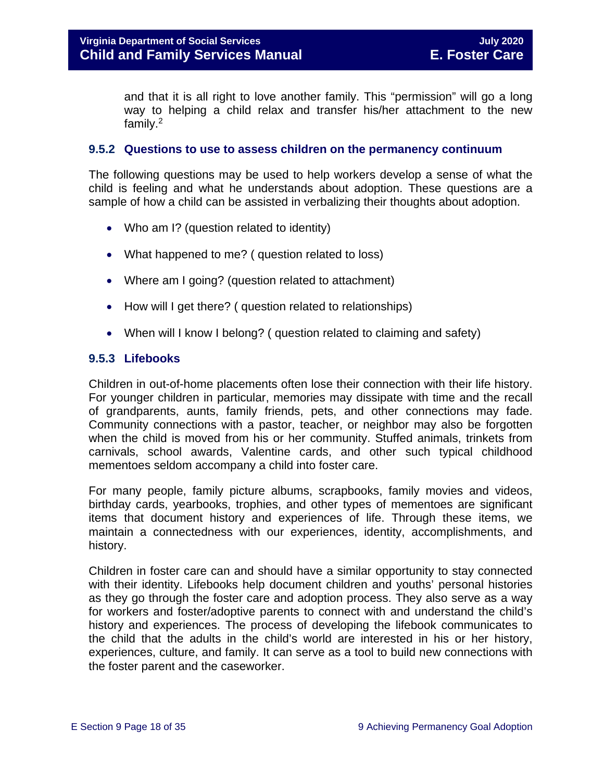and that it is all right to love another family. This "permission" will go a long way to helping a child relax and transfer his/her attachment to the new family.2

#### <span id="page-17-0"></span>**9.5.2 Questions to use to assess children on the permanency continuum**

The following questions may be used to help workers develop a sense of what the child is feeling and what he understands about adoption. These questions are a sample of how a child can be assisted in verbalizing their thoughts about adoption.

- Who am I? (question related to identity)
- What happened to me? ( question related to loss)
- Where am I going? (question related to attachment)
- How will I get there? ( question related to relationships)
- When will I know I belong? (question related to claiming and safety)

#### <span id="page-17-1"></span>**9.5.3 Lifebooks**

Children in out-of-home placements often lose their connection with their life history. For younger children in particular, memories may dissipate with time and the recall of grandparents, aunts, family friends, pets, and other connections may fade. Community connections with a pastor, teacher, or neighbor may also be forgotten when the child is moved from his or her community. Stuffed animals, trinkets from carnivals, school awards, Valentine cards, and other such typical childhood mementoes seldom accompany a child into foster care.

For many people, family picture albums, scrapbooks, family movies and videos, birthday cards, yearbooks, trophies, and other types of mementoes are significant items that document history and experiences of life. Through these items, we maintain a connectedness with our experiences, identity, accomplishments, and history.

Children in foster care can and should have a similar opportunity to stay connected with their identity. Lifebooks help document children and youths' personal histories as they go through the foster care and adoption process. They also serve as a way for workers and foster/adoptive parents to connect with and understand the child's history and experiences. The process of developing the lifebook communicates to the child that the adults in the child's world are interested in his or her history, experiences, culture, and family. It can serve as a tool to build new connections with the foster parent and the caseworker.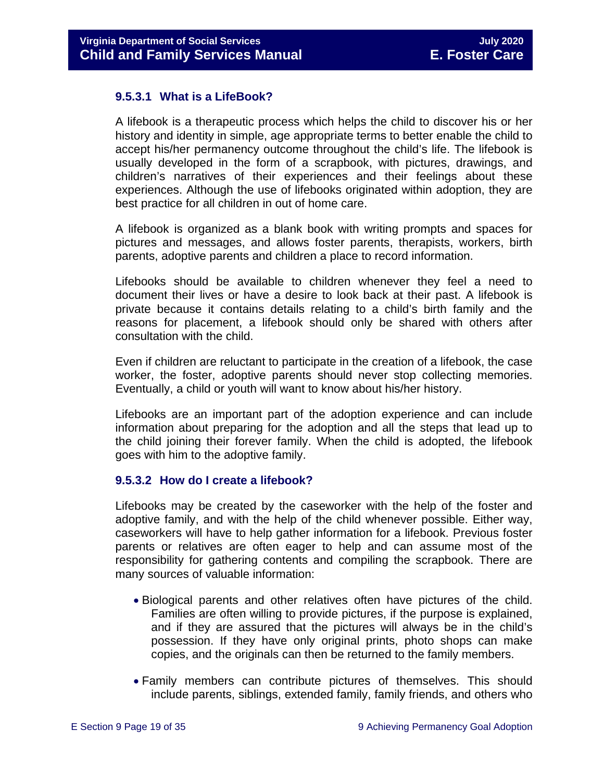#### **9.5.3.1 What is a LifeBook?**

A lifebook is a therapeutic process which helps the child to discover his or her history and identity in simple, age appropriate terms to better enable the child to accept his/her permanency outcome throughout the child's life. The lifebook is usually developed in the form of a scrapbook, with pictures, drawings, and children's narratives of their experiences and their feelings about these experiences. Although the use of lifebooks originated within adoption, they are best practice for all children in out of home care.

A lifebook is organized as a blank book with writing prompts and spaces for pictures and messages, and allows foster parents, therapists, workers, birth parents, adoptive parents and children a place to record information.

Lifebooks should be available to children whenever they feel a need to document their lives or have a desire to look back at their past. A lifebook is private because it contains details relating to a child's birth family and the reasons for placement, a lifebook should only be shared with others after consultation with the child.

Even if children are reluctant to participate in the creation of a lifebook, the case worker, the foster, adoptive parents should never stop collecting memories. Eventually, a child or youth will want to know about his/her history.

Lifebooks are an important part of the adoption experience and can include information about preparing for the adoption and all the steps that lead up to the child joining their forever family. When the child is adopted, the lifebook goes with him to the adoptive family.

#### **9.5.3.2 How do I create a lifebook?**

Lifebooks may be created by the caseworker with the help of the foster and adoptive family, and with the help of the child whenever possible. Either way, caseworkers will have to help gather information for a lifebook. Previous foster parents or relatives are often eager to help and can assume most of the responsibility for gathering contents and compiling the scrapbook. There are many sources of valuable information:

- Biological parents and other relatives often have pictures of the child. Families are often willing to provide pictures, if the purpose is explained, and if they are assured that the pictures will always be in the child's possession. If they have only original prints, photo shops can make copies, and the originals can then be returned to the family members.
- Family members can contribute pictures of themselves. This should include parents, siblings, extended family, family friends, and others who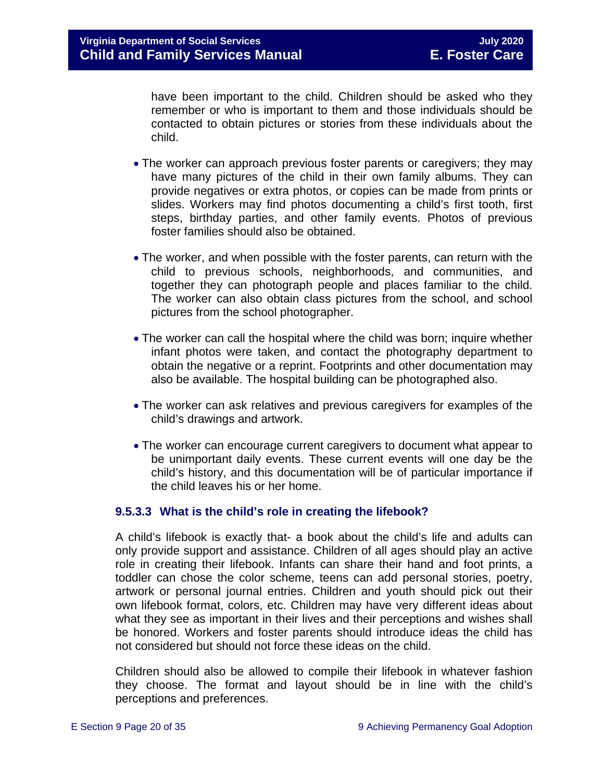have been important to the child. Children should be asked who they remember or who is important to them and those individuals should be contacted to obtain pictures or stories from these individuals about the child.

- The worker can approach previous foster parents or caregivers; they may have many pictures of the child in their own family albums. They can provide negatives or extra photos, or copies can be made from prints or slides. Workers may find photos documenting a child's first tooth, first steps, birthday parties, and other family events. Photos of previous foster families should also be obtained.
- The worker, and when possible with the foster parents, can return with the child to previous schools, neighborhoods, and communities, and together they can photograph people and places familiar to the child. The worker can also obtain class pictures from the school, and school pictures from the school photographer.
- The worker can call the hospital where the child was born; inquire whether infant photos were taken, and contact the photography department to obtain the negative or a reprint. Footprints and other documentation may also be available. The hospital building can be photographed also.
- The worker can ask relatives and previous caregivers for examples of the child's drawings and artwork.
- The worker can encourage current caregivers to document what appear to be unimportant daily events. These current events will one day be the child's history, and this documentation will be of particular importance if the child leaves his or her home.

#### **9.5.3.3 What is the child's role in creating the lifebook?**

A child's lifebook is exactly that- a book about the child's life and adults can only provide support and assistance. Children of all ages should play an active role in creating their lifebook. Infants can share their hand and foot prints, a toddler can chose the color scheme, teens can add personal stories, poetry, artwork or personal journal entries. Children and youth should pick out their own lifebook format, colors, etc. Children may have very different ideas about what they see as important in their lives and their perceptions and wishes shall be honored. Workers and foster parents should introduce ideas the child has not considered but should not force these ideas on the child.

Children should also be allowed to compile their lifebook in whatever fashion they choose. The format and layout should be in line with the child's perceptions and preferences.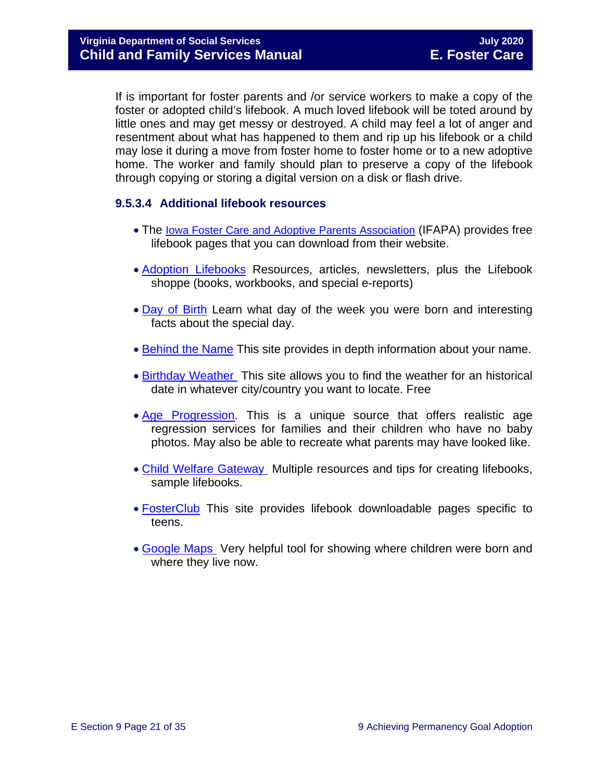If is important for foster parents and /or service workers to make a copy of the foster or adopted child's lifebook. A much loved lifebook will be toted around by little ones and may get messy or destroyed. A child may feel a lot of anger and resentment about what has happened to them and rip up his lifebook or a child may lose it during a move from foster home to foster home or to a new adoptive home. The worker and family should plan to preserve a copy of the lifebook through copying or storing a digital version on a disk or flash drive.

#### **9.5.3.4 Additional lifebook resources**

- The [Iowa Foster Care and Adoptive Parents Association](http://www.ifapa.org/publications/IFAPA_Lifebook_Pages.asp) (IFAPA) provides free lifebook pages that you can download from their website.
- [Adoption Lifebooks](http://adoptionlifebooks.com/) Resources, articles, newsletters, plus the Lifebook shoppe (books, workbooks, and special e-reports)
- [Day of Birth](http://www.dayofbirth.co.uk/) Learn what day of the week you were born and interesting facts about the special day.
- [Behind the Name](http://www.behindthename.com/) This site provides in depth information about your name.
- [Birthday Weather](http://www.wunderground.com/) This site allows you to find the weather for an historical date in whatever city/country you want to locate. Free
- [Age Progression.](http://www.phojoe.com/forensic_compositing.html) This is a unique source that offers realistic age regression services for families and their children who have no baby photos. May also be able to recreate what parents may have looked like.
- [Child Welfare Gateway](https://www.childwelfare.gov/topics/adoption/adopt-parenting/lifebooks/) Multiple resources and tips for creating lifebooks, sample lifebooks.
- [FosterClub](http://www.fosterclub.com/) This site provides lifebook downloadable pages specific to teens.
- [Google Maps](http://maps.google.com/) Very helpful tool for showing where children were born and where they live now.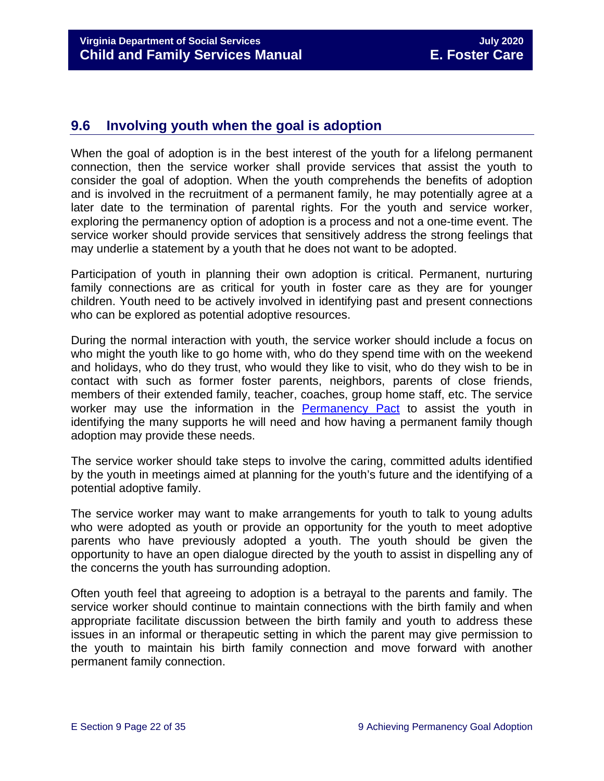# <span id="page-21-0"></span>**9.6 Involving youth when the goal is adoption**

When the goal of adoption is in the best interest of the youth for a lifelong permanent connection, then the service worker shall provide services that assist the youth to consider the goal of adoption. When the youth comprehends the benefits of adoption and is involved in the recruitment of a permanent family, he may potentially agree at a later date to the termination of parental rights. For the youth and service worker, exploring the permanency option of adoption is a process and not a one-time event. The service worker should provide services that sensitively address the strong feelings that may underlie a statement by a youth that he does not want to be adopted.

Participation of youth in planning their own adoption is critical. Permanent, nurturing family connections are as critical for youth in foster care as they are for younger children. Youth need to be actively involved in identifying past and present connections who can be explored as potential adoptive resources.

During the normal interaction with youth, the service worker should include a focus on who might the youth like to go home with, who do they spend time with on the weekend and holidays, who do they trust, who would they like to visit, who do they wish to be in contact with such as former foster parents, neighbors, parents of close friends, members of their extended family, teacher, coaches, group home staff, etc. The service worker may use the information in the [Permanency Pact](https://www.fosterclub.com/sites/default/files/Permanency%20Pact_0.pdf) to assist the youth in identifying the many supports he will need and how having a permanent family though adoption may provide these needs.

The service worker should take steps to involve the caring, committed adults identified by the youth in meetings aimed at planning for the youth's future and the identifying of a potential adoptive family.

The service worker may want to make arrangements for youth to talk to young adults who were adopted as youth or provide an opportunity for the youth to meet adoptive parents who have previously adopted a youth. The youth should be given the opportunity to have an open dialogue directed by the youth to assist in dispelling any of the concerns the youth has surrounding adoption.

Often youth feel that agreeing to adoption is a betrayal to the parents and family. The service worker should continue to maintain connections with the birth family and when appropriate facilitate discussion between the birth family and youth to address these issues in an informal or therapeutic setting in which the parent may give permission to the youth to maintain his birth family connection and move forward with another permanent family connection.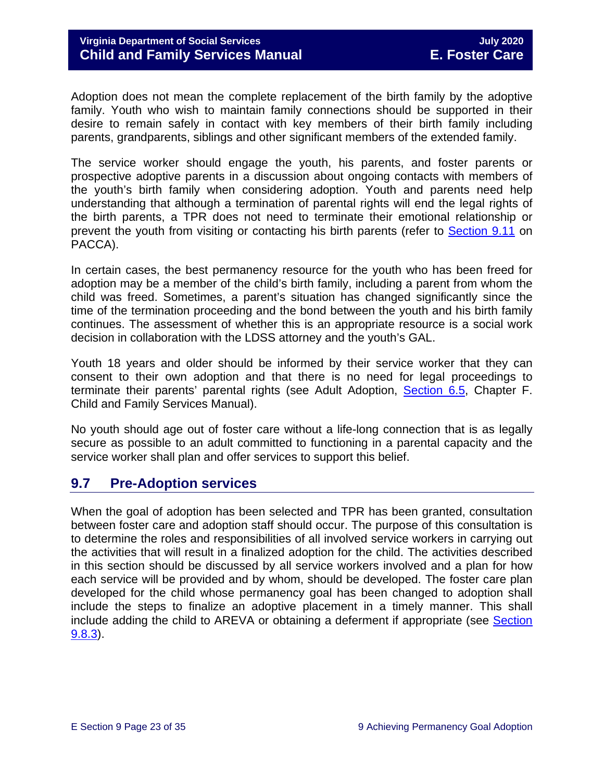Adoption does not mean the complete replacement of the birth family by the adoptive family. Youth who wish to maintain family connections should be supported in their desire to remain safely in contact with key members of their birth family including parents, grandparents, siblings and other significant members of the extended family.

The service worker should engage the youth, his parents, and foster parents or prospective adoptive parents in a discussion about ongoing contacts with members of the youth's birth family when considering adoption. Youth and parents need help understanding that although a termination of parental rights will end the legal rights of the birth parents, a TPR does not need to terminate their emotional relationship or prevent the youth from visiting or contacting his birth parents (refer to [Section 9.11](#page-32-1) on PACCA).

In certain cases, the best permanency resource for the youth who has been freed for adoption may be a member of the child's birth family, including a parent from whom the child was freed. Sometimes, a parent's situation has changed significantly since the time of the termination proceeding and the bond between the youth and his birth family continues. The assessment of whether this is an appropriate resource is a social work decision in collaboration with the LDSS attorney and the youth's GAL.

Youth 18 years and older should be informed by their service worker that they can consent to their own adoption and that there is no need for legal proceedings to terminate their parents' parental rights (see Adult Adoption, [Section 6.5,](https://fusion.dss.virginia.gov/Portals/%5Bdfs%5D/Files/Adoption/Guidance/2020/section_6_non_agency_placement_adoptions-July%202020.pdf#page=53) Chapter F. Child and Family Services Manual).

No youth should age out of foster care without a life-long connection that is as legally secure as possible to an adult committed to functioning in a parental capacity and the service worker shall plan and offer services to support this belief.

# <span id="page-22-0"></span>**9.7 Pre-Adoption services**

When the goal of adoption has been selected and TPR has been granted, consultation between foster care and adoption staff should occur. The purpose of this consultation is to determine the roles and responsibilities of all involved service workers in carrying out the activities that will result in a finalized adoption for the child. The activities described in this section should be discussed by all service workers involved and a plan for how each service will be provided and by whom, should be developed. The foster care plan developed for the child whose permanency goal has been changed to adoption shall include the steps to finalize an adoptive placement in a timely manner. This shall include adding the child to AREVA or obtaining a deferment if appropriate (see Section [9.8.3\)](#page-27-0).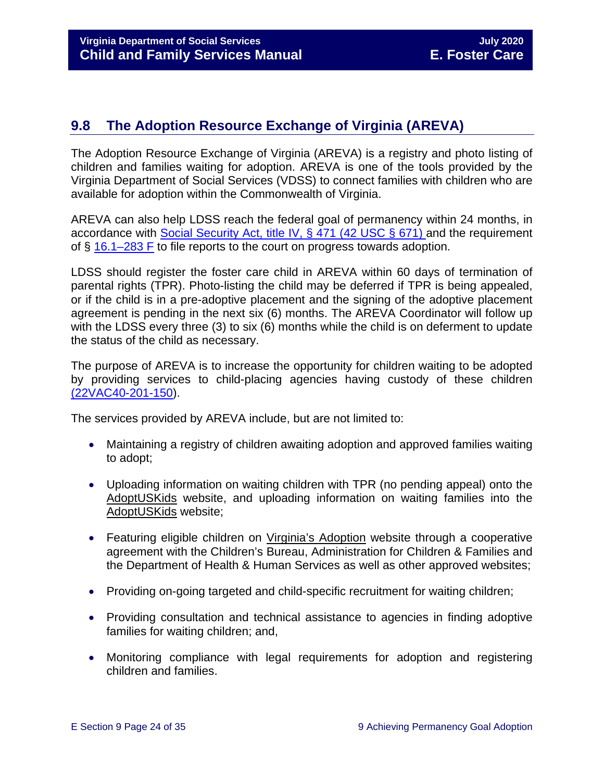# <span id="page-23-0"></span>**9.8 The Adoption Resource Exchange of Virginia (AREVA)**

The Adoption Resource Exchange of Virginia (AREVA) is a registry and photo listing of children and families waiting for adoption. AREVA is one of the tools provided by the Virginia Department of Social Services (VDSS) to connect families with children who are available for adoption within the Commonwealth of Virginia.

AREVA can also help LDSS reach the federal goal of permanency within 24 months, in accordance with [Social Security Act, title IV,](https://www.ssa.gov/OP_Home/ssact/title04/0471.htm) § 471 (42 USC § 671) and the requirement of § [16.1–283 F](https://law.lis.virginia.gov/vacode/16.1-283/) to file reports to the court on progress towards adoption.

LDSS should register the foster care child in AREVA within 60 days of termination of parental rights (TPR). Photo-listing the child may be deferred if TPR is being appealed, or if the child is in a pre-adoptive placement and the signing of the adoptive placement agreement is pending in the next six (6) months. The AREVA Coordinator will follow up with the LDSS every three (3) to six (6) months while the child is on deferment to update the status of the child as necessary.

The purpose of AREVA is to increase the opportunity for children waiting to be adopted by providing services to child-placing agencies having custody of these children [\(22VAC40-201-150\)](https://law.lis.virginia.gov/admincode/title22/agency40/chapter201/section150).

The services provided by AREVA include, but are not limited to:

- Maintaining a registry of children awaiting adoption and approved families waiting to adopt;
- Uploading information on waiting children with TPR (no pending appeal) onto the [AdoptUSKids](http://www.adoptuskids.org/) website, and uploading information on waiting families into the [AdoptUSKids](http://www.adoptuskids.org/) website;
- Featuring eligible children on [Virginia's Adoption](http://www.adoptuskids.org/states/va/index.aspx) website through a cooperative agreement with the Children's Bureau, Administration for Children & Families and the Department of Health & Human Services as well as other approved websites;
- Providing on-going targeted and child-specific recruitment for waiting children;
- Providing consultation and technical assistance to agencies in finding adoptive families for waiting children; and,
- Monitoring compliance with legal requirements for adoption and registering children and families.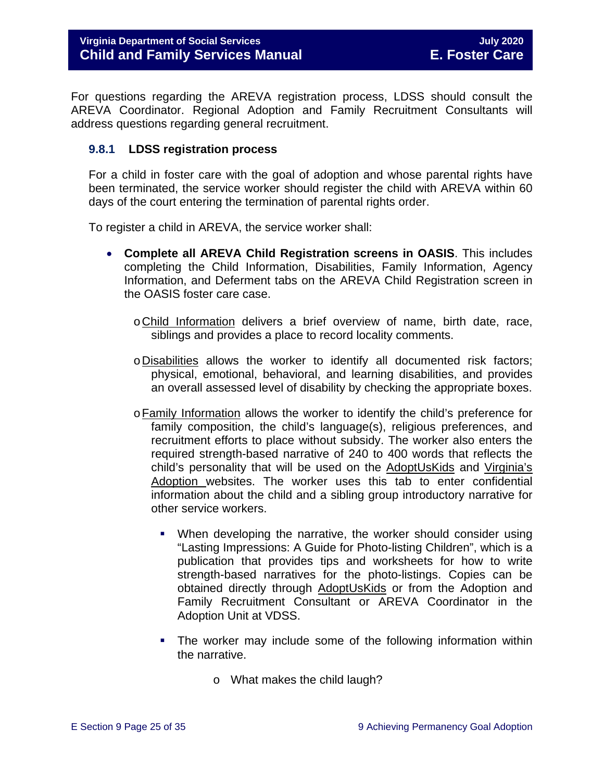For questions regarding the AREVA registration process, LDSS should consult the AREVA Coordinator. Regional Adoption and Family Recruitment Consultants will address questions regarding general recruitment.

#### <span id="page-24-0"></span>**9.8.1 LDSS registration process**

For a child in foster care with the goal of adoption and whose parental rights have been terminated, the service worker should register the child with AREVA within 60 days of the court entering the termination of parental rights order.

To register a child in AREVA, the service worker shall:

- **Complete all AREVA Child Registration screens in OASIS**. This includes completing the Child Information, Disabilities, Family Information, Agency Information, and Deferment tabs on the AREVA Child Registration screen in the OASIS foster care case.
	- oChild Information delivers a brief overview of name, birth date, race, siblings and provides a place to record locality comments.
	- oDisabilities allows the worker to identify all documented risk factors; physical, emotional, behavioral, and learning disabilities, and provides an overall assessed level of disability by checking the appropriate boxes.
	- oFamily Information allows the worker to identify the child's preference for family composition, the child's language(s), religious preferences, and recruitment efforts to place without subsidy. The worker also enters the required strength-based narrative of 240 to 400 words that reflects the child's personality that will be used on the [AdoptUsKids](http://www.adoptuskids.org/) and [Virginia's](http://www.adoptuskids.org/states/va/index.aspx)  [Adoption](http://www.adoptuskids.org/states/va/index.aspx) websites. The worker uses this tab to enter confidential information about the child and a sibling group introductory narrative for other service workers.
		- When developing the narrative, the worker should consider using "Lasting Impressions: A Guide for Photo-listing Children", which is a publication that provides tips and worksheets for how to write strength-based narratives for the photo-listings. Copies can be obtained directly through [AdoptUsKids](http://www.adoptuskids.org/) or from the Adoption and Family Recruitment Consultant or AREVA Coordinator in the Adoption Unit at VDSS.
		- The worker may include some of the following information within the narrative.
			- o What makes the child laugh?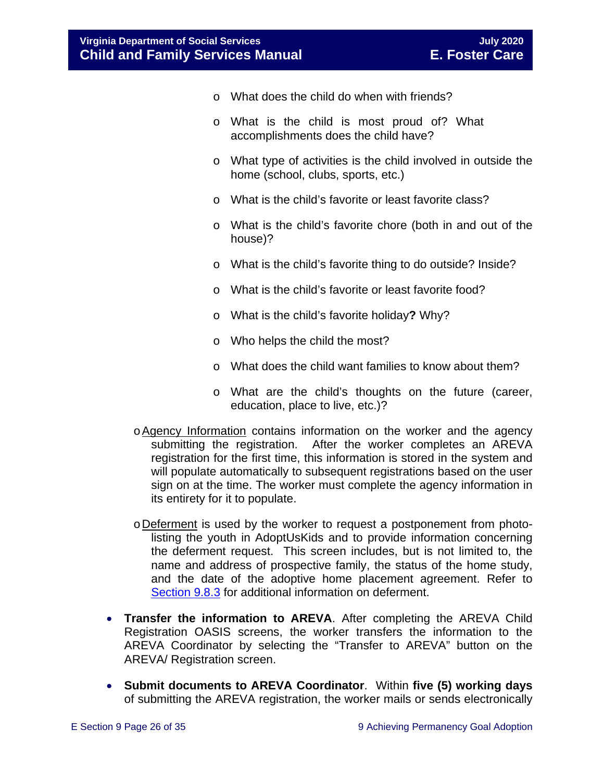- o What does the child do when with friends?
- o What is the child is most proud of? What accomplishments does the child have?
- o What type of activities is the child involved in outside the home (school, clubs, sports, etc.)
- o What is the child's favorite or least favorite class?
- o What is the child's favorite chore (both in and out of the house)?
- o What is the child's favorite thing to do outside? Inside?
- o What is the child's favorite or least favorite food?
- o What is the child's favorite holiday**?** Why?
- o Who helps the child the most?
- o What does the child want families to know about them?
- o What are the child's thoughts on the future (career, education, place to live, etc.)?
- oAgency Information contains information on the worker and the agency submitting the registration. After the worker completes an AREVA registration for the first time, this information is stored in the system and will populate automatically to subsequent registrations based on the user sign on at the time. The worker must complete the agency information in its entirety for it to populate.
- oDeferment is used by the worker to request a postponement from photolisting the youth in [AdoptUsKids](http://www.adoptuskids.org/) and to provide information concerning the deferment request. This screen includes, but is not limited to, the name and address of prospective family, the status of the home study, and the date of the adoptive home placement agreement. Refer to [Section 9.8.3](#page-27-0) for additional information on deferment.
- **Transfer the information to AREVA**. After completing the AREVA Child Registration OASIS screens, the worker transfers the information to the AREVA Coordinator by selecting the "Transfer to AREVA" button on the AREVA/ Registration screen.
- **Submit documents to AREVA Coordinator**. Within **five (5) working days** of submitting the AREVA registration, the worker mails or sends electronically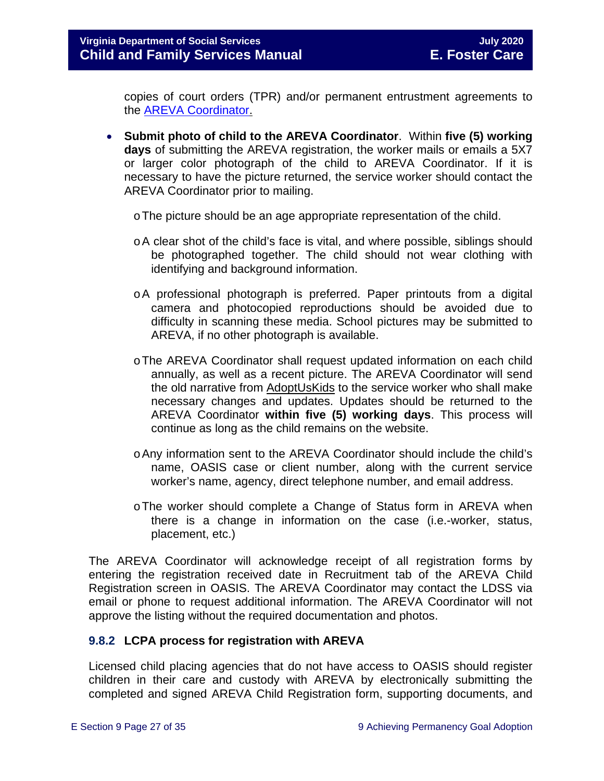copies of court orders (TPR) and/or permanent entrustment agreements to the [AREVA Coordinator.](https://fusion.dss.virginia.gov/dfs/DFS-Home/Adoption/AREVA)

- **Submit photo of child to the AREVA Coordinator**. Within **five (5) working days** of submitting the AREVA registration, the worker mails or emails a 5X7 or larger color photograph of the child to AREVA Coordinator. If it is necessary to have the picture returned, the service worker should contact the AREVA Coordinator prior to mailing.
	- oThe picture should be an age appropriate representation of the child.
	- oA clear shot of the child's face is vital, and where possible, siblings should be photographed together. The child should not wear clothing with identifying and background information.
	- oA professional photograph is preferred. Paper printouts from a digital camera and photocopied reproductions should be avoided due to difficulty in scanning these media. School pictures may be submitted to AREVA, if no other photograph is available.
	- oThe AREVA Coordinator shall request updated information on each child annually, as well as a recent picture. The AREVA Coordinator will send the old narrative from [AdoptUsKids](http://www.adoptuskids.org/) to the service worker who shall make necessary changes and updates. Updates should be returned to the AREVA Coordinator **within five (5) working days**. This process will continue as long as the child remains on the website.
	- oAny information sent to the AREVA Coordinator should include the child's name, OASIS case or client number, along with the current service worker's name, agency, direct telephone number, and email address.
	- oThe worker should complete a Change of Status form in AREVA when there is a change in information on the case (i.e.-worker, status, placement, etc.)

The AREVA Coordinator will acknowledge receipt of all registration forms by entering the registration received date in Recruitment tab of the AREVA Child Registration screen in OASIS. The AREVA Coordinator may contact the LDSS via email or phone to request additional information. The AREVA Coordinator will not approve the listing without the required documentation and photos.

#### <span id="page-26-0"></span>**9.8.2 LCPA process for registration with AREVA**

Licensed child placing agencies that do not have access to OASIS should register children in their care and custody with AREVA by electronically submitting the completed and signed AREVA Child Registration form, supporting documents, and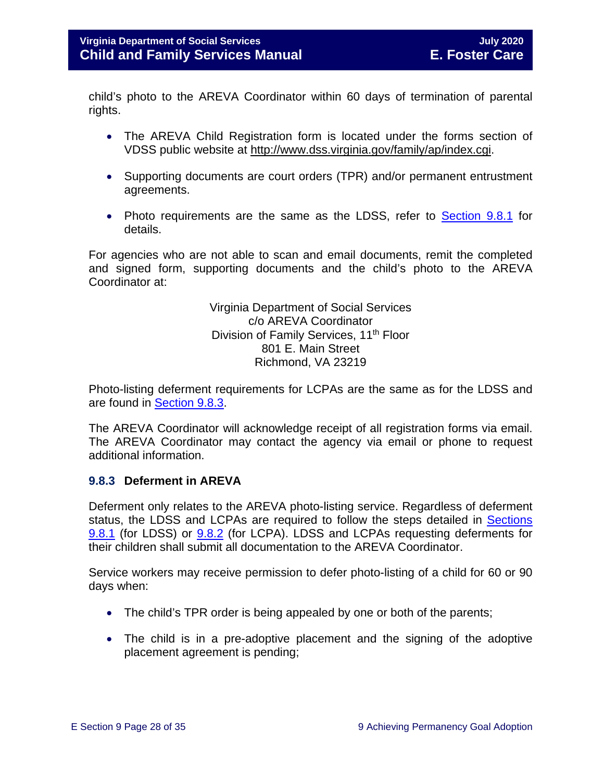child's photo to the AREVA Coordinator within 60 days of termination of parental rights.

- The AREVA Child Registration form is located under the forms section of VDSS public website at [http://www.dss.virginia.gov/family/ap/index.cgi.](http://www.dss.virginia.gov/family/ap/index.cgi)
- Supporting documents are court orders (TPR) and/or permanent entrustment agreements.
- Photo requirements are the same as the LDSS, refer to **Section 9.8.1** for details.

For agencies who are not able to scan and email documents, remit the completed and signed form, supporting documents and the child's photo to the AREVA Coordinator at:

> Virginia Department of Social Services c/o AREVA Coordinator Division of Family Services, 11<sup>th</sup> Floor 801 E. Main Street Richmond, VA 23219

Photo-listing deferment requirements for LCPAs are the same as for the LDSS and are found in [Section 9.8.3.](#page-27-0)

The AREVA Coordinator will acknowledge receipt of all registration forms via email. The AREVA Coordinator may contact the agency via email or phone to request additional information.

#### <span id="page-27-0"></span>**9.8.3 Deferment in AREVA**

Deferment only relates to the AREVA photo-listing service. Regardless of deferment status, the LDSS and LCPAs are required to follow the steps detailed in [Sections](#page-24-0) [9.8.1](#page-24-0) (for LDSS) or [9.8.2](#page-26-0) (for LCPA). LDSS and LCPAs requesting deferments for their children shall submit all documentation to the AREVA Coordinator.

Service workers may receive permission to defer photo-listing of a child for 60 or 90 days when:

- The child's TPR order is being appealed by one or both of the parents;
- The child is in a pre-adoptive placement and the signing of the adoptive placement agreement is pending;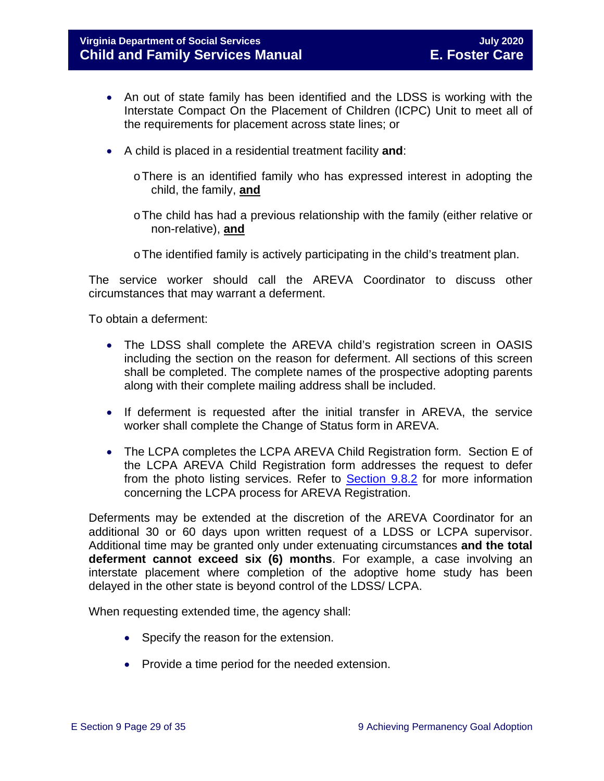- An out of state family has been identified and the LDSS is working with the Interstate Compact On the Placement of Children (ICPC) Unit to meet all of the requirements for placement across state lines; or
- A child is placed in a residential treatment facility **and**:
	- oThere is an identified family who has expressed interest in adopting the child, the family, **and**
	- $\circ$  The child has had a previous relationship with the family (either relative or non-relative), **and**
	- $\circ$  The identified family is actively participating in the child's treatment plan.

The service worker should call the AREVA Coordinator to discuss other circumstances that may warrant a deferment.

To obtain a deferment:

- The LDSS shall complete the AREVA child's registration screen in OASIS including the section on the reason for deferment. All sections of this screen shall be completed. The complete names of the prospective adopting parents along with their complete mailing address shall be included.
- If deferment is requested after the initial transfer in AREVA, the service worker shall complete the Change of Status form in AREVA.
- The LCPA completes the LCPA AREVA Child Registration form. Section E of the LCPA AREVA Child Registration form addresses the request to defer from the photo listing services. Refer to [Section 9.8.2](#page-26-0) for more information concerning the LCPA process for AREVA Registration.

Deferments may be extended at the discretion of the AREVA Coordinator for an additional 30 or 60 days upon written request of a LDSS or LCPA supervisor. Additional time may be granted only under extenuating circumstances **and the total deferment cannot exceed six (6) months**. For example, a case involving an interstate placement where completion of the adoptive home study has been delayed in the other state is beyond control of the LDSS/ LCPA.

When requesting extended time, the agency shall:

- Specify the reason for the extension.
- Provide a time period for the needed extension.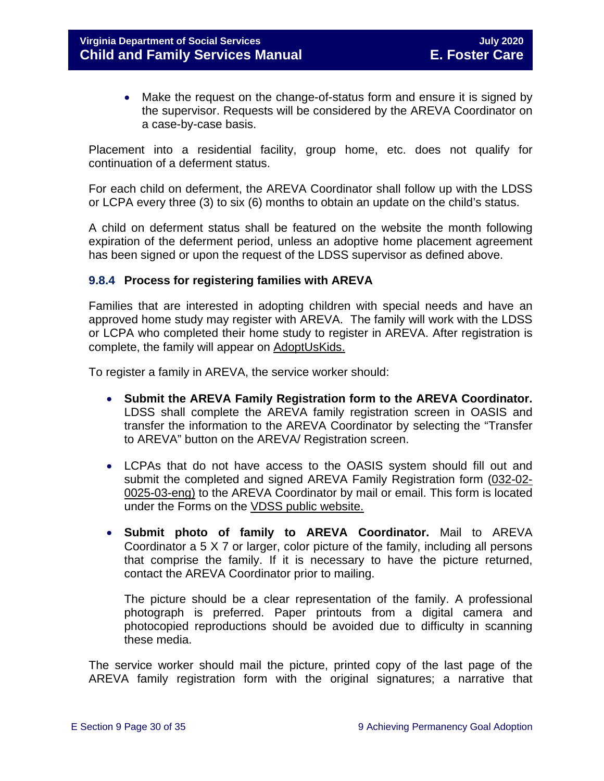• Make the request on the change-of-status form and ensure it is signed by the supervisor. Requests will be considered by the AREVA Coordinator on a case-by-case basis.

Placement into a residential facility, group home, etc. does not qualify for continuation of a deferment status.

For each child on deferment, the AREVA Coordinator shall follow up with the LDSS or LCPA every three (3) to six (6) months to obtain an update on the child's status.

A child on deferment status shall be featured on the website the month following expiration of the deferment period, unless an adoptive home placement agreement has been signed or upon the request of the LDSS supervisor as defined above.

#### <span id="page-29-0"></span>**9.8.4 Process for registering families with AREVA**

Families that are interested in adopting children with special needs and have an approved home study may register with AREVA. The family will work with the LDSS or LCPA who completed their home study to register in AREVA. After registration is complete, the family will appear on [AdoptUsKids.](http://www.adoptuskids.org/)

To register a family in AREVA, the service worker should:

- **Submit the AREVA Family Registration form to the AREVA Coordinator.**  LDSS shall complete the AREVA family registration screen in OASIS and transfer the information to the AREVA Coordinator by selecting the "Transfer to AREVA" button on the AREVA/ Registration screen.
- LCPAs that do not have access to the OASIS system should fill out and submit the completed and signed AREVA Family Registration form [\(032-02-](http://www.dss.virginia.gov/files/division/dfs/ap/intro_page/forms/032-02-0025-03-eng.pdf) [0025-03-eng\)](http://www.dss.virginia.gov/files/division/dfs/ap/intro_page/forms/032-02-0025-03-eng.pdf) to the AREVA Coordinator by mail or email. This form is located under the Forms on the [VDSS public website.](http://www.dss.virginia.gov/family/ap/index.cgi)
- **Submit photo of family to AREVA Coordinator.** Mail to AREVA Coordinator a 5 X 7 or larger, color picture of the family, including all persons that comprise the family. If it is necessary to have the picture returned, contact the AREVA Coordinator prior to mailing.

The picture should be a clear representation of the family. A professional photograph is preferred. Paper printouts from a digital camera and photocopied reproductions should be avoided due to difficulty in scanning these media.

The service worker should mail the picture, printed copy of the last page of the AREVA family registration form with the original signatures; a narrative that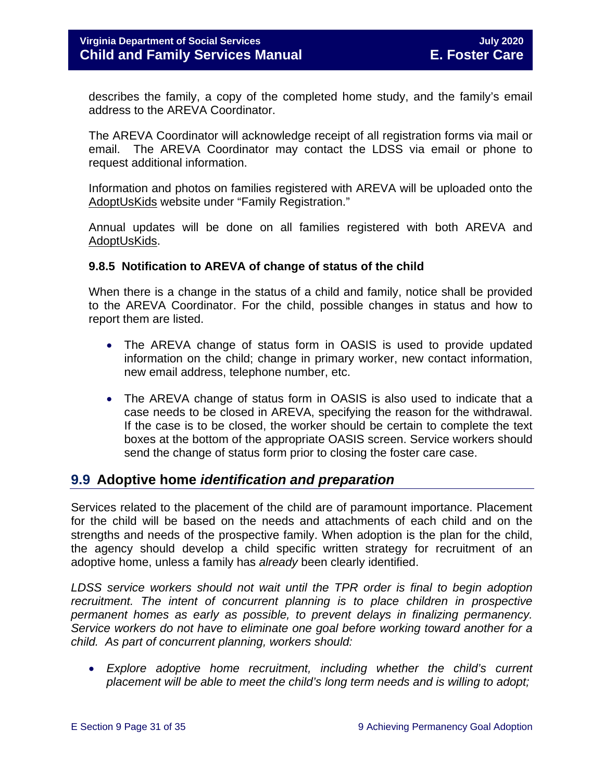describes the family, a copy of the completed home study, and the family's email address to the AREVA Coordinator.

The AREVA Coordinator will acknowledge receipt of all registration forms via mail or email. The AREVA Coordinator may contact the LDSS via email or phone to request additional information.

Information and photos on families registered with AREVA will be uploaded onto the [AdoptUsKids](http://www.adoptuskids.org/) website under "Family Registration."

Annual updates will be done on all families registered with both AREVA and [AdoptUsKids.](http://www.adoptuskids.org/)

#### <span id="page-30-0"></span>**9.8.5 Notification to AREVA of change of status of the child**

When there is a change in the status of a child and family, notice shall be provided to the AREVA Coordinator. For the child, possible changes in status and how to report them are listed.

- The AREVA change of status form in OASIS is used to provide updated information on the child; change in primary worker, new contact information, new email address, telephone number, etc.
- The AREVA change of status form in OASIS is also used to indicate that a case needs to be closed in AREVA, specifying the reason for the withdrawal. If the case is to be closed, the worker should be certain to complete the text boxes at the bottom of the appropriate OASIS screen. Service workers should send the change of status form prior to closing the foster care case.

# <span id="page-30-1"></span>**9.9 Adoptive home** *identification and preparation*

Services related to the placement of the child are of paramount importance. Placement for the child will be based on the needs and attachments of each child and on the strengths and needs of the prospective family. When adoption is the plan for the child, the agency should develop a child specific written strategy for recruitment of an adoptive home, unless a family has *already* been clearly identified.

*LDSS service workers should not wait until the TPR order is final to begin adoption recruitment. The intent of concurrent planning is to place children in prospective permanent homes as early as possible, to prevent delays in finalizing permanency. Service workers do not have to eliminate one goal before working toward another for a child. As part of concurrent planning, workers should:*

• *Explore adoptive home recruitment, including whether the child's current placement will be able to meet the child's long term needs and is willing to adopt;*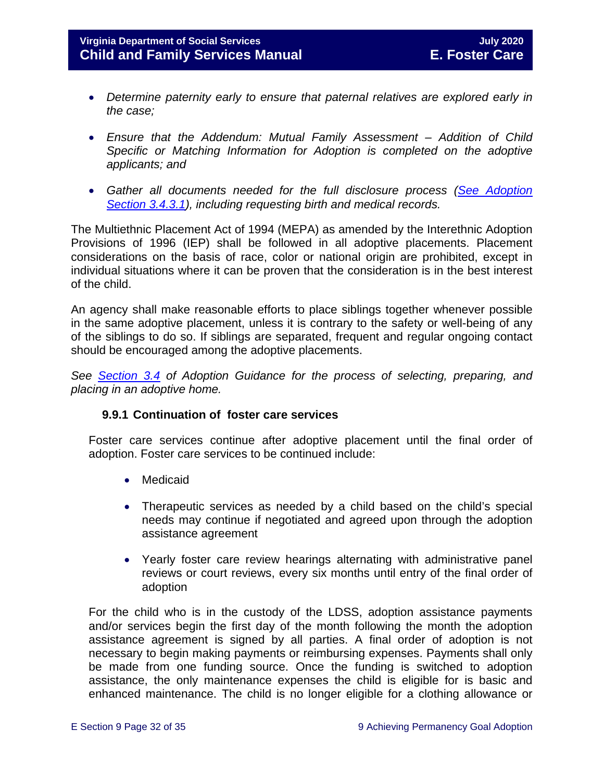- *Determine paternity early to ensure that paternal relatives are explored early in the case;*
- *Ensure that the Addendum: Mutual Family Assessment – Addition of Child Specific or Matching Information for Adoption is completed on the adoptive applicants; and*
- *Gather all documents needed for the full disclosure process [\(See Adoption](https://fusion.dss.virginia.gov/Portals/%5Bdfs%5D/Files/Adoption/Guidance/2020/section_3_finalizing%20the%20adoption-July%202020.pdf#page=6)  [Section 3.4.3.1\)](https://fusion.dss.virginia.gov/Portals/%5Bdfs%5D/Files/Adoption/Guidance/2020/section_3_finalizing%20the%20adoption-July%202020.pdf#page=6), including requesting birth and medical records.*

The Multiethnic Placement Act of 1994 (MEPA) as amended by the Interethnic Adoption Provisions of 1996 (IEP) shall be followed in all adoptive placements. Placement considerations on the basis of race, color or national origin are prohibited, except in individual situations where it can be proven that the consideration is in the best interest of the child.

An agency shall make reasonable efforts to place siblings together whenever possible in the same adoptive placement, unless it is contrary to the safety or well-being of any of the siblings to do so. If siblings are separated, frequent and regular ongoing contact should be encouraged among the adoptive placements.

*See [Section 3.4](https://fusion.dss.virginia.gov/Portals/%5Bdfs%5D/Files/Adoption/Guidance/2020/section_3_finalizing%20the%20adoption-July%202020.pdf#page=4) of Adoption Guidance for the process of selecting, preparing, and placing in an adoptive home.* 

### **9.9.1 Continuation of foster care services**

<span id="page-31-0"></span>Foster care services continue after adoptive placement until the final order of adoption. Foster care services to be continued include:

- Medicaid
- Therapeutic services as needed by a child based on the child's special needs may continue if negotiated and agreed upon through the adoption assistance agreement
- Yearly foster care review hearings alternating with administrative panel reviews or court reviews, every six months until entry of the final order of adoption

For the child who is in the custody of the LDSS, adoption assistance payments and/or services begin the first day of the month following the month the adoption assistance agreement is signed by all parties. A final order of adoption is not necessary to begin making payments or reimbursing expenses. Payments shall only be made from one funding source. Once the funding is switched to adoption assistance, the only maintenance expenses the child is eligible for is basic and enhanced maintenance. The child is no longer eligible for a clothing allowance or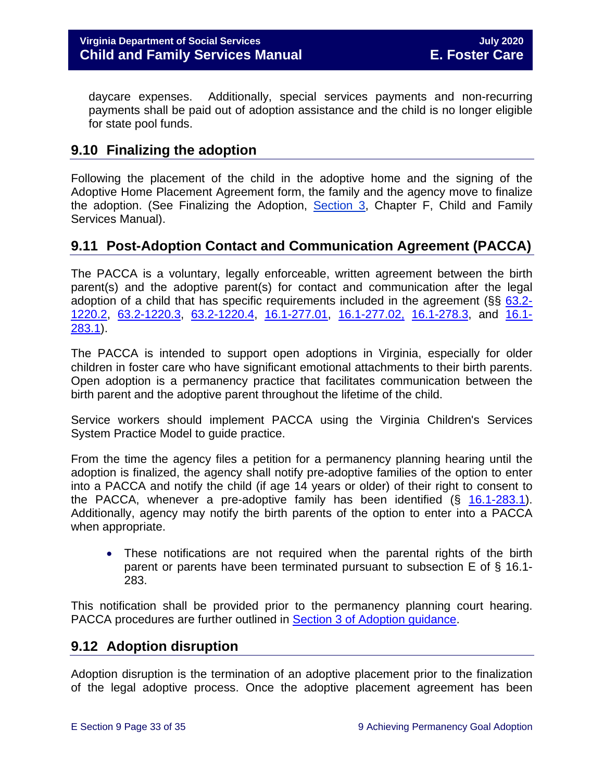daycare expenses. Additionally, special services payments and non-recurring payments shall be paid out of adoption assistance and the child is no longer eligible for state pool funds.

# <span id="page-32-0"></span>**9.10 Finalizing the adoption**

Following the placement of the child in the adoptive home and the signing of the Adoptive Home Placement Agreement form, the family and the agency move to finalize the adoption. (See Finalizing the Adoption, [Section 3,](https://fusion.dss.virginia.gov/Portals/%5Bdfs%5D/Files/Adoption/Guidance/2020/section_3_finalizing%20the%20adoption-July%202020.pdf) Chapter F, Child and Family Services Manual).

# <span id="page-32-1"></span>**9.11 Post-Adoption Contact and Communication Agreement (PACCA)**

The PACCA is a voluntary, legally enforceable, written agreement between the birth parent(s) and the adoptive parent(s) for contact and communication after the legal adoption of a child that has specific requirements included in the agreement (§§ [63.2-](https://law.lis.virginia.gov/vacode/63.2-1220.2/) [1220.2,](https://law.lis.virginia.gov/vacode/63.2-1220.2/) [63.2-1220.3,](https://law.lis.virginia.gov/vacode/title63.2/chapter12/section63.2-1220.3/) [63.2-1220.4,](https://law.lis.virginia.gov/vacode/title63.2/chapter12/section63.2-1220.4/) [16.1-277.01,](https://law.lis.virginia.gov/vacode/16.1-277.01/) [16.1-277.02,](https://law.lis.virginia.gov/vacode/title16.1/chapter11/section16.1-277.02/) [16.1-278.3,](https://law.lis.virginia.gov/vacode/16.1-278.3/) and [16.1-](https://law.lis.virginia.gov/vacode/16.1-283.1/) [283.1\)](https://law.lis.virginia.gov/vacode/16.1-283.1/).

The PACCA is intended to support open adoptions in Virginia, especially for older children in foster care who have significant emotional attachments to their birth parents. Open adoption is a permanency practice that facilitates communication between the birth parent and the adoptive parent throughout the lifetime of the child.

Service workers should implement PACCA using the Virginia Children's Services System Practice Model to guide practice.

From the time the agency files a petition for a permanency planning hearing until the adoption is finalized, the agency shall notify pre-adoptive families of the option to enter into a PACCA and notify the child (if age 14 years or older) of their right to consent to the PACCA, whenever a pre-adoptive family has been identified  $(S$  [16.1-283.1\)](https://law.lis.virginia.gov/vacode/16.1-283.1). Additionally, agency may notify the birth parents of the option to enter into a PACCA when appropriate.

• These notifications are not required when the parental rights of the birth parent or parents have been terminated pursuant to subsection E of § 16.1- 283.

This notification shall be provided prior to the permanency planning court hearing. PACCA procedures are further outlined in [Section 3 of Adoption guidance.](https://fusion.dss.virginia.gov/Portals/%5Bdfs%5D/Files/Adoption/Guidance/2020/section_3_finalizing%20the%20adoption-July%202020.pdf)

# <span id="page-32-2"></span>**9.12 Adoption disruption**

Adoption disruption is the termination of an adoptive placement prior to the finalization of the legal adoptive process. Once the adoptive placement agreement has been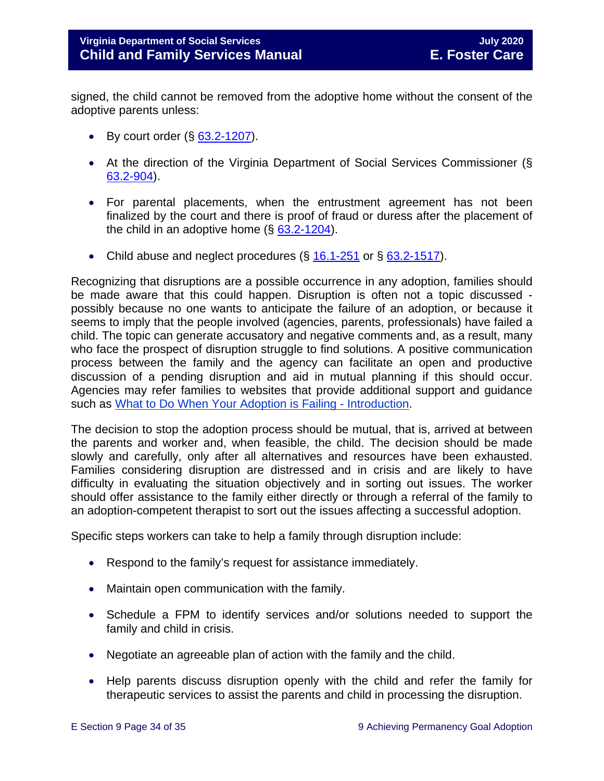signed, the child cannot be removed from the adoptive home without the consent of the adoptive parents unless:

- By court order  $(\S$  [63.2-1207\)](https://law.lis.virginia.gov/vacode/63.2-1207).
- At the direction of the Virginia Department of Social Services Commissioner (§ [63.2-904\)](https://law.lis.virginia.gov/vacode/63.2-904).
- For parental placements, when the entrustment agreement has not been finalized by the court and there is proof of fraud or duress after the placement of the child in an adoptive home  $(\S$  [63.2-1204\)](https://law.lis.virginia.gov/vacode/63.2-1204).
- Child abuse and neglect procedures  $(\S 16.1-251)$  $(\S 16.1-251)$  $(\S 16.1-251)$  or  $\S 63.2-1517$ .

Recognizing that disruptions are a possible occurrence in any adoption, families should be made aware that this could happen. Disruption is often not a topic discussed possibly because no one wants to anticipate the failure of an adoption, or because it seems to imply that the people involved (agencies, parents, professionals) have failed a child. The topic can generate accusatory and negative comments and, as a result, many who face the prospect of disruption struggle to find solutions. A positive communication process between the family and the agency can facilitate an open and productive discussion of a pending disruption and aid in mutual planning if this should occur. Agencies may refer families to websites that provide additional support and guidance such as What to [Do When Your Adoption is Failing -](http://library.adoption.com/articles/what-to-do-when-your-adoption-is-failing-a-parents-guide-to-adoption-disruption-dissolution.html) Introduction.

The decision to stop the adoption process should be mutual, that is, arrived at between the parents and worker and, when feasible, the child. The decision should be made slowly and carefully, only after all alternatives and resources have been exhausted. Families considering disruption are distressed and in crisis and are likely to have difficulty in evaluating the situation objectively and in sorting out issues. The worker should offer assistance to the family either directly or through a referral of the family to an adoption-competent therapist to sort out the issues affecting a successful adoption.

Specific steps workers can take to help a family through disruption include:

- Respond to the family's request for assistance immediately.
- Maintain open communication with the family.
- Schedule a FPM to identify services and/or solutions needed to support the family and child in crisis.
- Negotiate an agreeable plan of action with the family and the child.
- Help parents discuss disruption openly with the child and refer the family for therapeutic services to assist the parents and child in processing the disruption.